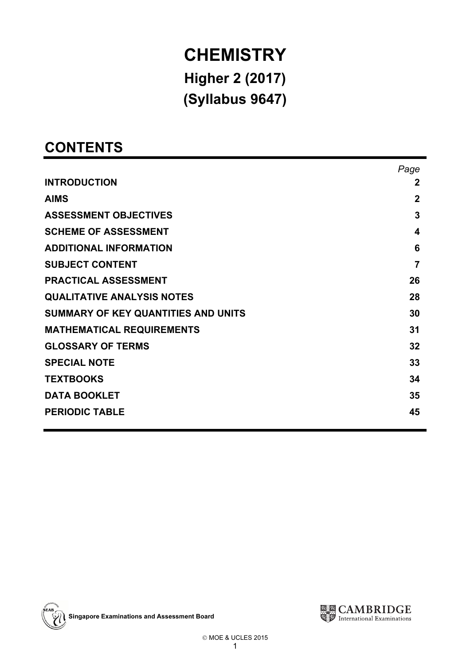# **CHEMISTRY**<br>Higher 2 (2017)  $H_2$  (2017)  $\sqrt{2}$

# **CONTENTS**

|                                     | Page         |
|-------------------------------------|--------------|
| <b>INTRODUCTION</b>                 | $\mathbf{2}$ |
| <b>AIMS</b>                         | $\mathbf 2$  |
| <b>ASSESSMENT OBJECTIVES</b>        | 3            |
| <b>SCHEME OF ASSESSMENT</b>         | 4            |
| <b>ADDITIONAL INFORMATION</b>       | 6            |
| <b>SUBJECT CONTENT</b>              | 7            |
| <b>PRACTICAL ASSESSMENT</b>         | 26           |
| <b>QUALITATIVE ANALYSIS NOTES</b>   | 28           |
| SUMMARY OF KEY QUANTITIES AND UNITS | 30           |
| <b>MATHEMATICAL REQUIREMENTS</b>    | 31           |
| <b>GLOSSARY OF TERMS</b>            | 32           |
| <b>SPECIAL NOTE</b>                 | 33           |
| <b>TEXTBOOKS</b>                    | 34           |
| <b>DATA BOOKLET</b>                 | 35           |
| <b>PERIODIC TABLE</b>               | 45           |



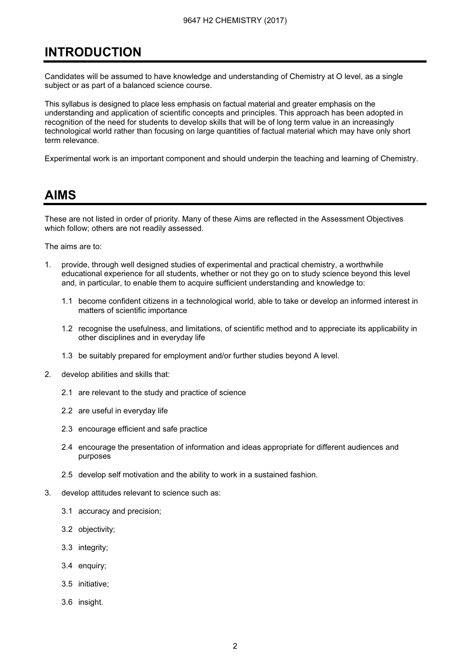# **INTRODUCTION** <u>INTRODUCTION CONTROL</u>

Candidates will be assumed to have knowledge and understanding of Chemistry at O level, as a single subject or as part of a balanced science course.

This syllabus is designed to place less emphasis on factual material and greater emphasis on the understanding and application of scientific concepts and principles. This approach has been adopted in recognition of the need for students to develop skills that will be of long term value in an increasingly technological world rather than focusing on large quantities of factual material which may have only short term relevance.

Experimental work is an important component and should underpin the teaching and learning of Chemistry.

# **AIMS** <u>. . . . . .</u>

These are not listed in order of priority. Many of these Aims are reflected in the Assessment Objectives which follow; others are not readily assessed.

The aims are to:

- 1. provide, through well designed studies of experimental and practical chemistry, a worthwhile educational experience for all students, whether or not they go on to study science beyond this level and, in particular, to enable them to acquire sufficient understanding and knowledge to:
	- 1.1 become confident citizens in a technological world, able to take or develop an informed interest in matters of scientific importance
	- 1.2 recognise the usefulness, and limitations, of scientific method and to appreciate its applicability in other disciplines and in everyday life
	- 1.3 be suitably prepared for employment and/or further studies beyond A level.
- 2. develop abilities and skills that:
	- 2.1 are relevant to the study and practice of science
	- 2.2 are useful in everyday life
	- 2.3 encourage efficient and safe practice
	- 2.4 encourage the presentation of information and ideas appropriate for different audiences and purposes
	- 2.5 develop self motivation and the ability to work in a sustained fashion.
- 3. develop attitudes relevant to science such as:
	- 3.1 accuracy and precision;
	- 3.2 objectivity;
	- 3.3 integrity;
	- 3.4 enquiry;
	- 3.5 initiative;
	- 3.6 insight.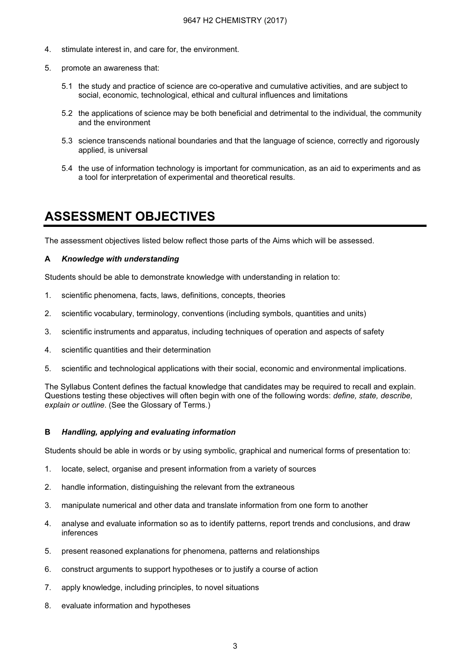- 4. stimulate interest in, and care for, the environment.
- 5. promote an awareness that:
	- 5.1 the study and practice of science are co-operative and cumulative activities, and are subject to social, economic, technological, ethical and cultural influences and limitations
	- 5.2 the applications of science may be both beneficial and detrimental to the individual, the community and the environment
	- 5.3 science transcends national boundaries and that the language of science, correctly and rigorously applied, is universal
	- 5.4 the use of information technology is important for communication, as an aid to experiments and as a tool for interpretation of experimental and theoretical results.

# ASSESSMENT OBJECTIVES

The assessment objectives listed below reflect those parts of the Aims which will be assessed.

#### A Knowledge with understanding

Students should be able to demonstrate knowledge with understanding in relation to:

- 1. scientific phenomena, facts, laws, definitions, concepts, theories
- 2. scientific vocabulary, terminology, conventions (including symbols, quantities and units)
- 3. scientific instruments and apparatus, including techniques of operation and aspects of safety
- 4. scientific quantities and their determination
- 5. scientific and technological applications with their social, economic and environmental implications.

The Syllabus Content defines the factual knowledge that candidates may be required to recall and explain. Questions testing these objectives will often begin with one of the following words: define, state, describe, explain or outline. (See the Glossary of Terms.)

#### B Handling, applying and evaluating information

Students should be able in words or by using symbolic, graphical and numerical forms of presentation to:

- 1. locate, select, organise and present information from a variety of sources
- 2. handle information, distinguishing the relevant from the extraneous
- 3. manipulate numerical and other data and translate information from one form to another
- 4. analyse and evaluate information so as to identify patterns, report trends and conclusions, and draw inferences
- 5. present reasoned explanations for phenomena, patterns and relationships
- 6. construct arguments to support hypotheses or to justify a course of action
- 7. apply knowledge, including principles, to novel situations
- 8. evaluate information and hypotheses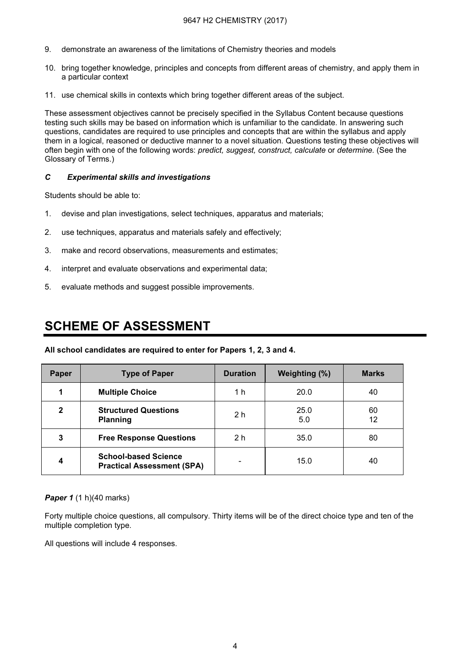- 9. demonstrate an awareness of the limitations of Chemistry theories and models
- 10. bring together knowledge, principles and concepts from different areas of chemistry, and apply them in a particular context
- 11. use chemical skills in contexts which bring together different areas of the subject.

These assessment objectives cannot be precisely specified in the Syllabus Content because questions testing such skills may be based on information which is unfamiliar to the candidate. In answering such questions, candidates are required to use principles and concepts that are within the syllabus and apply them in a logical, reasoned or deductive manner to a novel situation. Questions testing these objectives will often begin with one of the following words: predict, suggest, construct, calculate or determine. (See the Glossary of Terms.)

#### C Experimental skills and investigations

Students should be able to:

- 1. devise and plan investigations, select techniques, apparatus and materials;
- 2. use techniques, apparatus and materials safely and effectively;
- 3. make and record observations, measurements and estimates;
- 4. interpret and evaluate observations and experimental data;
- 5. evaluate methods and suggest possible improvements.

# **SCHEME OF ASSESSMENT** SCHEME OF ASSESSMENT

All school candidates are required to enter for Papers 1, 2, 3 and 4.

| <b>Paper</b> | <b>Type of Paper</b>                                             | <b>Duration</b> | Weighting (%) | <b>Marks</b> |
|--------------|------------------------------------------------------------------|-----------------|---------------|--------------|
|              | <b>Multiple Choice</b>                                           | 1 h             | 20.0          | 40           |
| 2            | <b>Structured Questions</b><br><b>Planning</b>                   | 2 <sub>h</sub>  | 25.0<br>5.0   | 60<br>12     |
| 3            | <b>Free Response Questions</b>                                   | 2 <sub>h</sub>  | 35.0          | 80           |
|              | <b>School-based Science</b><br><b>Practical Assessment (SPA)</b> |                 | 15.0          | 40           |

**Paper 1** (1 h)(40 marks)

Forty multiple choice questions, all compulsory. Thirty items will be of the direct choice type and ten of the multiple completion type.

All questions will include 4 responses.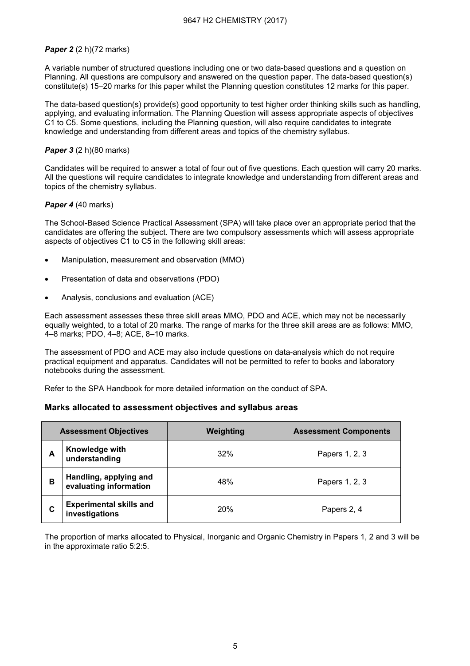#### Paper 2 (2 h)(72 marks)

A variable number of structured questions including one or two data-based questions and a question on Planning. All questions are compulsory and answered on the question paper. The data-based question(s) constitute(s) 15–20 marks for this paper whilst the Planning question constitutes 12 marks for this paper.

The data-based question(s) provide(s) good opportunity to test higher order thinking skills such as handling, applying, and evaluating information. The Planning Question will assess appropriate aspects of objectives C1 to C5. Some questions, including the Planning question, will also require candidates to integrate knowledge and understanding from different areas and topics of the chemistry syllabus.

#### **Paper 3** (2 h)(80 marks)

Candidates will be required to answer a total of four out of five questions. Each question will carry 20 marks. All the questions will require candidates to integrate knowledge and understanding from different areas and topics of the chemistry syllabus.

#### Paper 4 (40 marks)

The School-Based Science Practical Assessment (SPA) will take place over an appropriate period that the candidates are offering the subject. There are two compulsory assessments which will assess appropriate aspects of objectives C1 to C5 in the following skill areas:

- Manipulation, measurement and observation (MMO)
- Presentation of data and observations (PDO)
- Analysis, conclusions and evaluation (ACE)

Each assessment assesses these three skill areas MMO, PDO and ACE, which may not be necessarily equally weighted, to a total of 20 marks. The range of marks for the three skill areas are as follows: MMO, 4–8 marks; PDO, 4–8; ACE, 8–10 marks.

The assessment of PDO and ACE may also include questions on data-analysis which do not require practical equipment and apparatus. Candidates will not be permitted to refer to books and laboratory notebooks during the assessment.

Refer to the SPA Handbook for more detailed information on the conduct of SPA.

#### Marks allocated to assessment objectives and syllabus areas

|   | <b>Assessment Objectives</b>                     | Weighting  | <b>Assessment Components</b> |
|---|--------------------------------------------------|------------|------------------------------|
| А | Knowledge with<br>understanding                  | 32%        | Papers 1, 2, 3               |
| в | Handling, applying and<br>evaluating information | 48%        | Papers 1, 2, 3               |
| С | <b>Experimental skills and</b><br>investigations | <b>20%</b> | Papers 2, 4                  |

The proportion of marks allocated to Physical, Inorganic and Organic Chemistry in Papers 1, 2 and 3 will be in the approximate ratio 5:2:5.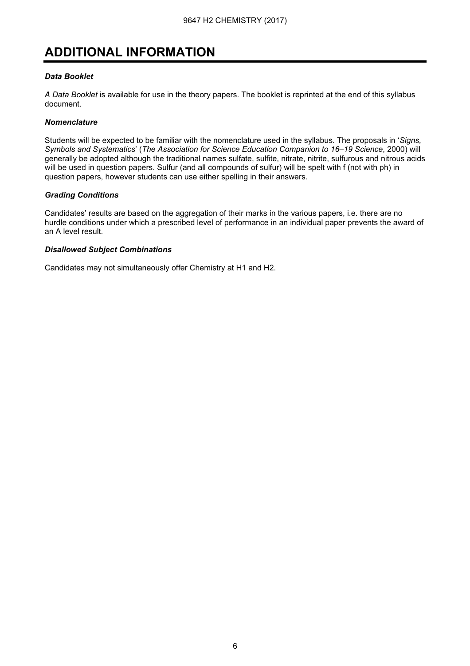# ADDITIONAL INFORMATION

#### Data Booklet

A Data Booklet is available for use in the theory papers. The booklet is reprinted at the end of this syllabus document.

#### **Nomenclature**

Students will be expected to be familiar with the nomenclature used in the syllabus. The proposals in 'Signs, Symbols and Systematics' (The Association for Science Education Companion to 16–19 Science, 2000) will generally be adopted although the traditional names sulfate, sulfite, nitrate, nitrite, sulfurous and nitrous acids will be used in question papers. Sulfur (and all compounds of sulfur) will be spelt with f (not with ph) in question papers, however students can use either spelling in their answers.

#### Grading Conditions

Candidates' results are based on the aggregation of their marks in the various papers, i.e. there are no hurdle conditions under which a prescribed level of performance in an individual paper prevents the award of an A level result.

#### Disallowed Subject Combinations

Candidates may not simultaneously offer Chemistry at H1 and H2.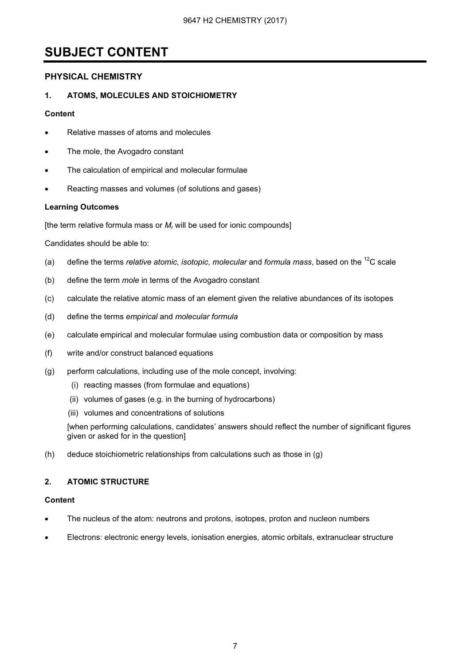# <u>SUBJECT CONTENT</u>

#### PHYSICAL CHEMISTRY

#### 1. ATOMS, MOLECULES AND STOICHIOMETRY

#### Content

- Relative masses of atoms and molecules
- The mole, the Avogadro constant
- The calculation of empirical and molecular formulae
- Reacting masses and volumes (of solutions and gases)

#### Learning Outcomes

[the term relative formula mass or  $M_r$  will be used for ionic compounds]

Candidates should be able to:

- (a) define the terms *relative atomic, isotopic, molecular* and *formula mass, based on the*  $^{12}C$  scale
- (b) define the term mole in terms of the Avogadro constant
- (c) calculate the relative atomic mass of an element given the relative abundances of its isotopes
- (d) define the terms empirical and molecular formula
- (e) calculate empirical and molecular formulae using combustion data or composition by mass
- (f) write and/or construct balanced equations
- (g) perform calculations, including use of the mole concept, involving:
	- (i) reacting masses (from formulae and equations)
	- (ii) volumes of gases (e.g. in the burning of hydrocarbons)
	- (iii) volumes and concentrations of solutions

 [when performing calculations, candidates' answers should reflect the number of significant figures given or asked for in the question]

(h) deduce stoichiometric relationships from calculations such as those in (g)

#### 2. ATOMIC STRUCTURE

#### Content

- The nucleus of the atom: neutrons and protons, isotopes, proton and nucleon numbers
- Electrons: electronic energy levels, ionisation energies, atomic orbitals, extranuclear structure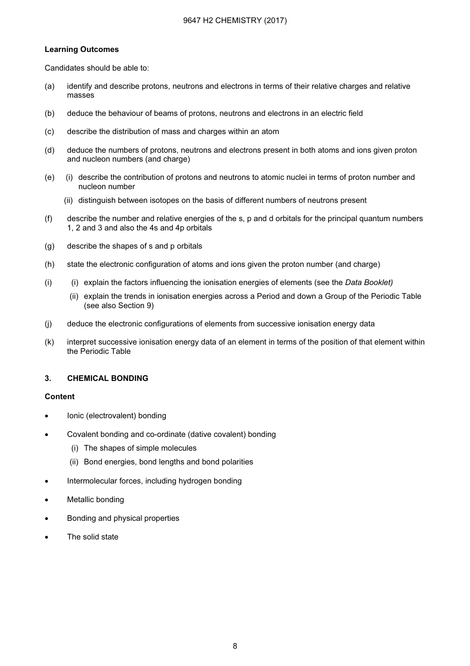#### Learning Outcomes

Candidates should be able to:

- (a) identify and describe protons, neutrons and electrons in terms of their relative charges and relative masses
- (b) deduce the behaviour of beams of protons, neutrons and electrons in an electric field
- (c) describe the distribution of mass and charges within an atom
- (d) deduce the numbers of protons, neutrons and electrons present in both atoms and ions given proton and nucleon numbers (and charge)
- (e) (i) describe the contribution of protons and neutrons to atomic nuclei in terms of proton number and nucleon number
	- (ii) distinguish between isotopes on the basis of different numbers of neutrons present
- (f) describe the number and relative energies of the s, p and d orbitals for the principal quantum numbers 1, 2 and 3 and also the 4s and 4p orbitals
- (g) describe the shapes of s and p orbitals
- (h) state the electronic configuration of atoms and ions given the proton number (and charge)
- $(i)$  (i) explain the factors influencing the ionisation energies of elements (see the Data Booklet)
	- (ii) explain the trends in ionisation energies across a Period and down a Group of the Periodic Table (see also Section 9)
- (j) deduce the electronic configurations of elements from successive ionisation energy data
- (k) interpret successive ionisation energy data of an element in terms of the position of that element within the Periodic Table

#### 3. CHEMICAL BONDING

#### **Content**

- Ionic (electrovalent) bonding
- Covalent bonding and co-ordinate (dative covalent) bonding
	- (i) The shapes of simple molecules
	- (ii) Bond energies, bond lengths and bond polarities
- Intermolecular forces, including hydrogen bonding
- Metallic bonding
- Bonding and physical properties
- The solid state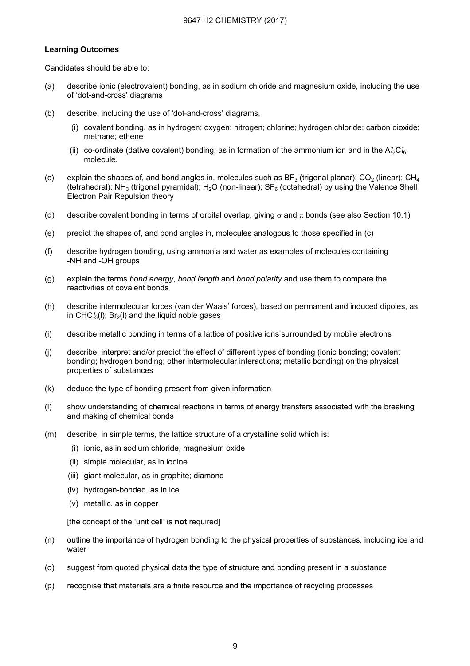#### Learning Outcomes

Candidates should be able to:

- (a) describe ionic (electrovalent) bonding, as in sodium chloride and magnesium oxide, including the use of 'dot-and-cross' diagrams
- (b) describe, including the use of 'dot-and-cross' diagrams,
	- (i) covalent bonding, as in hydrogen; oxygen; nitrogen; chlorine; hydrogen chloride; carbon dioxide; methane; ethene
	- (ii) co-ordinate (dative covalent) bonding, as in formation of the ammonium ion and in the  $A/2C/6$ molecule.
- (c) explain the shapes of, and bond angles in, molecules such as  $BF_3$  (trigonal planar);  $CO_2$  (linear);  $CH_4$ (tetrahedral); NH<sub>3</sub> (trigonal pyramidal); H<sub>2</sub>O (non-linear); SF<sub>6</sub> (octahedral) by using the Valence Shell Electron Pair Repulsion theory
- (d) describe covalent bonding in terms of orbital overlap, giving  $\sigma$  and  $\pi$  bonds (see also Section 10.1)
- (e) predict the shapes of, and bond angles in, molecules analogous to those specified in (c)
- (f) describe hydrogen bonding, using ammonia and water as examples of molecules containing -NH and -OH groups
- (g) explain the terms bond energy, bond length and bond polarity and use them to compare the reactivities of covalent bonds
- (h) describe intermolecular forces (van der Waals' forces), based on permanent and induced dipoles, as in CHC $l_3(1)$ ; Br<sub>2</sub>(I) and the liquid noble gases
- (i) describe metallic bonding in terms of a lattice of positive ions surrounded by mobile electrons
- (j) describe, interpret and/or predict the effect of different types of bonding (ionic bonding; covalent bonding; hydrogen bonding; other intermolecular interactions; metallic bonding) on the physical properties of substances
- (k) deduce the type of bonding present from given information
- (l) show understanding of chemical reactions in terms of energy transfers associated with the breaking and making of chemical bonds
- (m) describe, in simple terms, the lattice structure of a crystalline solid which is:
	- (i) ionic, as in sodium chloride, magnesium oxide
	- (ii) simple molecular, as in iodine
	- (iii) giant molecular, as in graphite; diamond
	- (iv) hydrogen-bonded, as in ice
	- (v) metallic, as in copper

[the concept of the 'unit cell' is not required]

- (n) outline the importance of hydrogen bonding to the physical properties of substances, including ice and water
- (o) suggest from quoted physical data the type of structure and bonding present in a substance
- (p) recognise that materials are a finite resource and the importance of recycling processes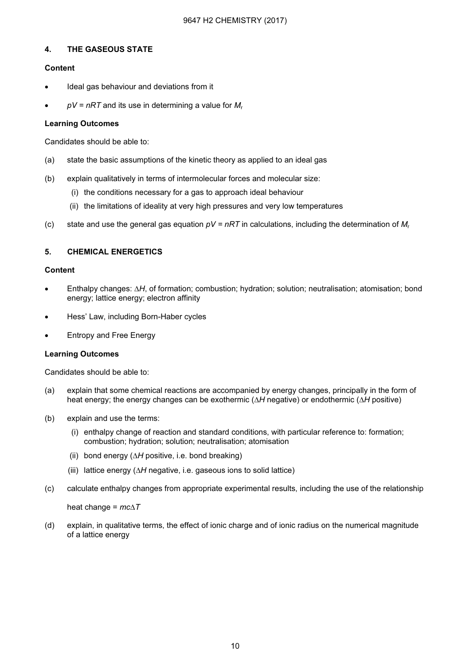#### 4. THE GASEOUS STATE

#### Content

- Ideal gas behaviour and deviations from it
- $pV = nRT$  and its use in determining a value for  $M_r$

#### Learning Outcomes

Candidates should be able to:

- (a) state the basic assumptions of the kinetic theory as applied to an ideal gas
- (b) explain qualitatively in terms of intermolecular forces and molecular size:
	- (i) the conditions necessary for a gas to approach ideal behaviour
	- (ii) the limitations of ideality at very high pressures and very low temperatures
- (c) state and use the general gas equation  $pV = nRT$  in calculations, including the determination of  $M_r$

#### 5. CHEMICAL ENERGETICS

#### Content

- Enthalpy changes: ∆H, of formation; combustion; hydration; solution; neutralisation; atomisation; bond energy; lattice energy; electron affinity
- Hess' Law, including Born-Haber cycles
- Entropy and Free Energy

#### Learning Outcomes

Candidates should be able to:

- (a) explain that some chemical reactions are accompanied by energy changes, principally in the form of heat energy; the energy changes can be exothermic (∆H negative) or endothermic (∆H positive)
- (b) explain and use the terms:
	- (i) enthalpy change of reaction and standard conditions, with particular reference to: formation; combustion; hydration; solution; neutralisation; atomisation
	- (ii) bond energy ( $\Delta H$  positive, i.e. bond breaking)
	- (iii) lattice energy (∆H negative, i.e. gaseous ions to solid lattice)
- (c) calculate enthalpy changes from appropriate experimental results, including the use of the relationship

#### heat change =  $mc\Delta T$

(d) explain, in qualitative terms, the effect of ionic charge and of ionic radius on the numerical magnitude of a lattice energy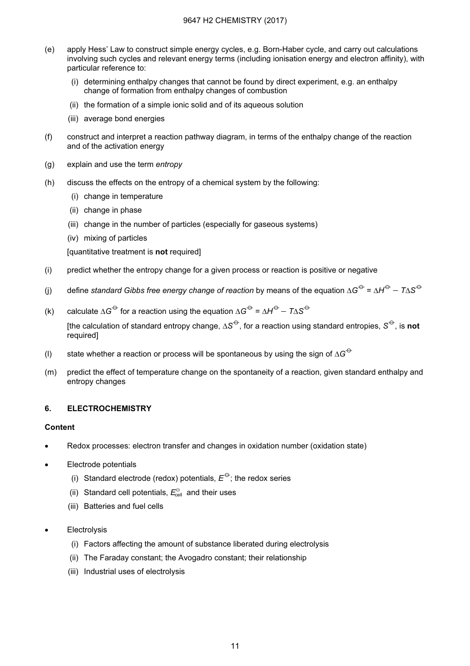- (e) apply Hess' Law to construct simple energy cycles, e.g. Born-Haber cycle, and carry out calculations involving such cycles and relevant energy terms (including ionisation energy and electron affinity), with particular reference to:
	- (i) determining enthalpy changes that cannot be found by direct experiment, e.g. an enthalpy change of formation from enthalpy changes of combustion
	- (ii) the formation of a simple ionic solid and of its aqueous solution
	- (iii) average bond energies
- (f) construct and interpret a reaction pathway diagram, in terms of the enthalpy change of the reaction and of the activation energy
- (g) explain and use the term entropy
- (h) discuss the effects on the entropy of a chemical system by the following:
	- (i) change in temperature
	- (ii) change in phase
	- (iii) change in the number of particles (especially for gaseous systems)
	- (iv) mixing of particles

[quantitative treatment is not required]

- (i) predict whether the entropy change for a given process or reaction is positive or negative
- (j) define standard Gibbs free energy change of reaction by means of the equation ∆G<sup> $\leftrightarrow$ </sup> = ∆H<sup> $\leftrightarrow$ </sup> T∆S<sup> $\leftrightarrow$ </sup>
- (k) calculate ∆G<sup> $\ominus$ </sup> for a reaction using the equation ∆G<sup> $\ominus$ </sup> = ∆H<sup> $\ominus$ </sup>  $7\triangle S^{\ominus}$ [the calculation of standard entropy change,  $\Delta S^{\ominus}$ , for a reaction using standard entropies,  $S^{\ominus}$ , is not required]
- (l) state whether a reaction or process will be spontaneous by using the sign of  $\Delta G^{\ominus}$
- (m) predict the effect of temperature change on the spontaneity of a reaction, given standard enthalpy and entropy changes

#### 6. ELECTROCHEMISTRY

#### Content

- Redox processes: electron transfer and changes in oxidation number (oxidation state)
- Electrode potentials
	- (i) Standard electrode (redox) potentials,  $E^{\Theta}$ ; the redox series
- (ii) Standard cell potentials,  $E_{\text{cell}}^{\ominus}$  and their uses
	- (iii) Batteries and fuel cells
- **Electrolysis** 
	- (i) Factors affecting the amount of substance liberated during electrolysis
	- (ii) The Faraday constant; the Avogadro constant; their relationship
	- (iii) Industrial uses of electrolysis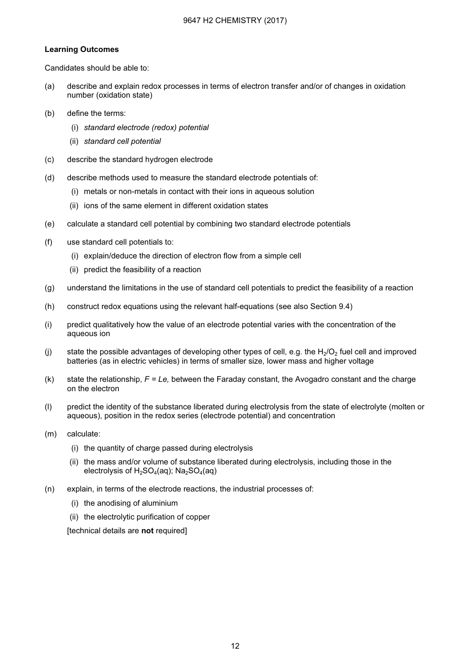#### Learning Outcomes

Candidates should be able to:

- (a) describe and explain redox processes in terms of electron transfer and/or of changes in oxidation number (oxidation state)
- (b) define the terms:
	- (i) standard electrode (redox) potential
	- (ii) standard cell potential
- (c) describe the standard hydrogen electrode
- (d) describe methods used to measure the standard electrode potentials of:
	- (i) metals or non-metals in contact with their ions in aqueous solution
	- (ii) ions of the same element in different oxidation states
- (e) calculate a standard cell potential by combining two standard electrode potentials
- (f) use standard cell potentials to:
	- (i) explain/deduce the direction of electron flow from a simple cell
	- (ii) predict the feasibility of a reaction
- (g) understand the limitations in the use of standard cell potentials to predict the feasibility of a reaction
- (h) construct redox equations using the relevant half-equations (see also Section 9.4)
- (i) predict qualitatively how the value of an electrode potential varies with the concentration of the aqueous ion
- (i) state the possible advantages of developing other types of cell, e.g. the  $H_2/O_2$  fuel cell and improved batteries (as in electric vehicles) in terms of smaller size, lower mass and higher voltage
- (k) state the relationship,  $F = Le$ , between the Faraday constant, the Avogadro constant and the charge on the electron
- (l) predict the identity of the substance liberated during electrolysis from the state of electrolyte (molten or aqueous), position in the redox series (electrode potential) and concentration
- (m) calculate:
	- (i) the quantity of charge passed during electrolysis
	- (ii) the mass and/or volume of substance liberated during electrolysis, including those in the electrolysis of  $H_2SO_4(aq)$ ; Na<sub>2</sub>SO<sub>4</sub>(aq)
- (n) explain, in terms of the electrode reactions, the industrial processes of:
	- (i) the anodising of aluminium
	- (ii) the electrolytic purification of copper

[technical details are not required]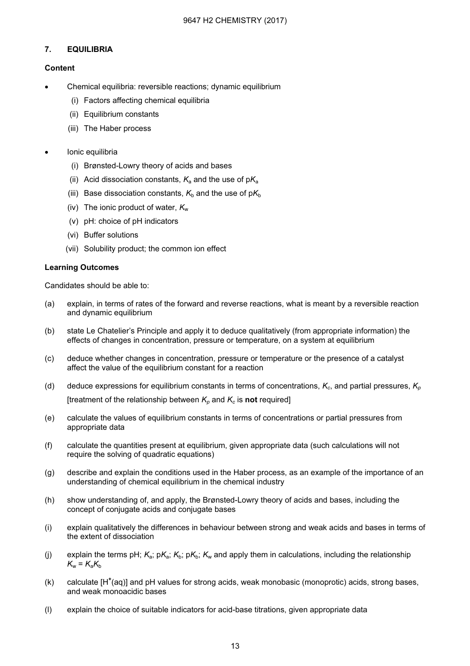#### 7. EQUILIBRIA

#### **Content**

- Chemical equilibria: reversible reactions; dynamic equilibrium
	- (i) Factors affecting chemical equilibria
	- (ii) Equilibrium constants
	- (iii) The Haber process
- Ionic equilibria
	- (i) Brønsted-Lowry theory of acids and bases
	- (ii) Acid dissociation constants,  $K_a$  and the use of p $K_a$
	- (iii) Base dissociation constants,  $K_b$  and the use of p $K_b$
	- (iv) The ionic product of water,  $K_w$
	- (v) pH: choice of pH indicators
	- (vi) Buffer solutions
	- (vii) Solubility product; the common ion effect

#### Learning Outcomes

- (a) explain, in terms of rates of the forward and reverse reactions, what is meant by a reversible reaction and dynamic equilibrium
- (b) state Le Chatelier's Principle and apply it to deduce qualitatively (from appropriate information) the effects of changes in concentration, pressure or temperature, on a system at equilibrium
- (c) deduce whether changes in concentration, pressure or temperature or the presence of a catalyst affect the value of the equilibrium constant for a reaction
- (d) deduce expressions for equilibrium constants in terms of concentrations,  $K_c$ , and partial pressures,  $K_p$ [treatment of the relationship between  $K_p$  and  $K_c$  is not required]
- (e) calculate the values of equilibrium constants in terms of concentrations or partial pressures from appropriate data
- (f) calculate the quantities present at equilibrium, given appropriate data (such calculations will not require the solving of quadratic equations)
- (g) describe and explain the conditions used in the Haber process, as an example of the importance of an understanding of chemical equilibrium in the chemical industry
- (h) show understanding of, and apply, the Brønsted-Lowry theory of acids and bases, including the concept of conjugate acids and conjugate bases
- (i) explain qualitatively the differences in behaviour between strong and weak acids and bases in terms of the extent of dissociation
- (i) explain the terms pH;  $K_a$ ; p $K_a$ ;  $K_b$ ;  $K_b$ ;  $K_w$  and apply them in calculations, including the relationship  $K_w = K_a K_b$
- $(k)$  calculate  $[H^{\dagger}(aq)]$  and pH values for strong acids, weak monobasic (monoprotic) acids, strong bases, and weak monoacidic bases
- (l) explain the choice of suitable indicators for acid-base titrations, given appropriate data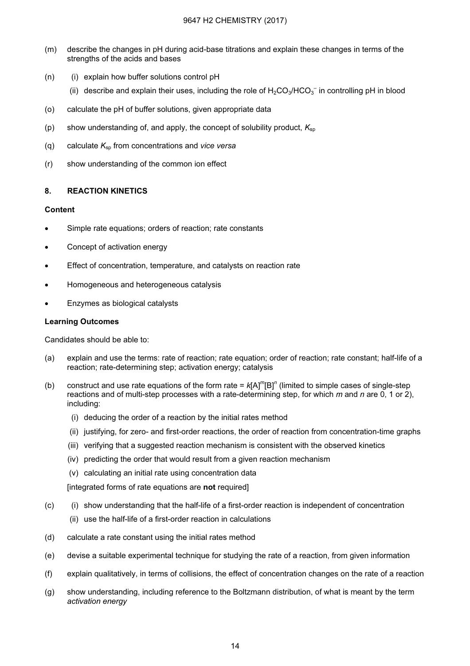- (m) describe the changes in pH during acid-base titrations and explain these changes in terms of the strengths of the acids and bases
- $(n)$  (i) explain how buffer solutions control pH
- (ii) describe and explain their uses, including the role of  $H_2CO_3/HCO_3^-$  in controlling pH in blood
- (o) calculate the pH of buffer solutions, given appropriate data
- (p) show understanding of, and apply, the concept of solubility product,  $K_{\rm SD}$
- (q) calculate  $K_{\rm SD}$  from concentrations and vice versa
- (r) show understanding of the common ion effect

#### 8. REACTION KINETICS

#### Content

- Simple rate equations; orders of reaction; rate constants
- Concept of activation energy
- Effect of concentration, temperature, and catalysts on reaction rate
- Homogeneous and heterogeneous catalysis
- Enzymes as biological catalysts

#### Learning Outcomes

Candidates should be able to:

- (a) explain and use the terms: rate of reaction; rate equation; order of reaction; rate constant; half-life of a reaction; rate-determining step; activation energy; catalysis
- (b) construct and use rate equations of the form rate =  $k[A]^m[B]^n$  (limited to simple cases of single-step reactions and of multi-step processes with a rate-determining step, for which  $m$  and  $n$  are 0, 1 or 2), including:
	- (i) deducing the order of a reaction by the initial rates method
	- (ii) justifying, for zero- and first-order reactions, the order of reaction from concentration-time graphs
	- (iii) verifying that a suggested reaction mechanism is consistent with the observed kinetics
	- (iv) predicting the order that would result from a given reaction mechanism
	- (v) calculating an initial rate using concentration data

[integrated forms of rate equations are not required]

- (c) (i) show understanding that the half-life of a first-order reaction is independent of concentration
	- (ii) use the half-life of a first-order reaction in calculations
- (d) calculate a rate constant using the initial rates method
- (e) devise a suitable experimental technique for studying the rate of a reaction, from given information
- (f) explain qualitatively, in terms of collisions, the effect of concentration changes on the rate of a reaction
- (g) show understanding, including reference to the Boltzmann distribution, of what is meant by the term activation energy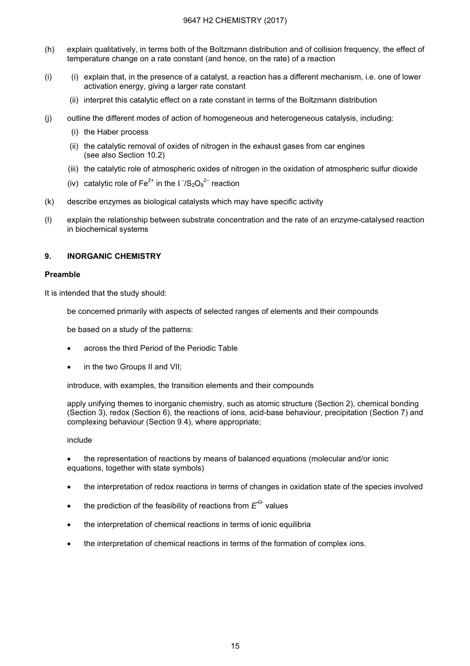#### 9647 H2 CHEMISTRY (2017)

- (h) explain qualitatively, in terms both of the Boltzmann distribution and of collision frequency, the effect of temperature change on a rate constant (and hence, on the rate) of a reaction
- (i) (i) explain that, in the presence of a catalyst, a reaction has a different mechanism, i.e. one of lower activation energy, giving a larger rate constant
	- (ii) interpret this catalytic effect on a rate constant in terms of the Boltzmann distribution
- (j) outline the different modes of action of homogeneous and heterogeneous catalysis, including:
	- (i) the Haber process
	- (ii) the catalytic removal of oxides of nitrogen in the exhaust gases from car engines (see also Section 10.2)
	- (iii) the catalytic role of atmospheric oxides of nitrogen in the oxidation of atmospheric sulfur dioxide
- (iv) catalytic role of Fe<sup>2+</sup> in the  $I^-/S_2O_8^2^-$  reaction
- (k) describe enzymes as biological catalysts which may have specific activity
- (l) explain the relationship between substrate concentration and the rate of an enzyme-catalysed reaction in biochemical systems

#### 9. INORGANIC CHEMISTRY

#### Preamble

It is intended that the study should:

be concerned primarily with aspects of selected ranges of elements and their compounds

be based on a study of the patterns:

- across the third Period of the Periodic Table
- in the two Groups II and VII;

introduce, with examples, the transition elements and their compounds

apply unifying themes to inorganic chemistry, such as atomic structure (Section 2), chemical bonding (Section 3), redox (Section 6), the reactions of ions, acid-base behaviour, precipitation (Section 7) and complexing behaviour (Section 9.4), where appropriate;

#### include

• the representation of reactions by means of balanced equations (molecular and/or ionic equations, together with state symbols)

- the interpretation of redox reactions in terms of changes in oxidation state of the species involved
- the prediction of the feasibility of reactions from  $E^{\ominus}$  values
- the interpretation of chemical reactions in terms of ionic equilibria
- the interpretation of chemical reactions in terms of the formation of complex ions.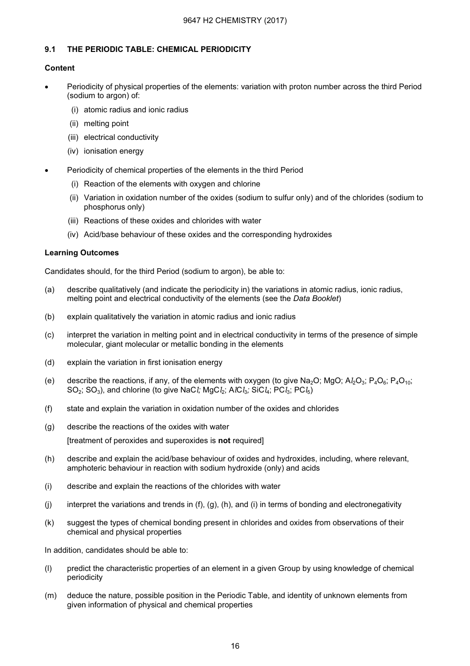#### 9.1 THE PERIODIC TABLE: CHEMICAL PERIODICITY

#### Content

- Periodicity of physical properties of the elements: variation with proton number across the third Period (sodium to argon) of:
	- (i) atomic radius and ionic radius
	- (ii) melting point
	- (iii) electrical conductivity
	- (iv) ionisation energy
- Periodicity of chemical properties of the elements in the third Period
	- (i) Reaction of the elements with oxygen and chlorine
	- (ii) Variation in oxidation number of the oxides (sodium to sulfur only) and of the chlorides (sodium to phosphorus only)
	- (iii) Reactions of these oxides and chlorides with water
	- (iv) Acid/base behaviour of these oxides and the corresponding hydroxides

#### Learning Outcomes

Candidates should, for the third Period (sodium to argon), be able to:

- (a) describe qualitatively (and indicate the periodicity in) the variations in atomic radius, ionic radius, melting point and electrical conductivity of the elements (see the Data Booklet)
- (b) explain qualitatively the variation in atomic radius and ionic radius
- (c) interpret the variation in melting point and in electrical conductivity in terms of the presence of simple molecular, giant molecular or metallic bonding in the elements
- (d) explain the variation in first ionisation energy
- (e) describe the reactions, if any, of the elements with oxygen (to give Na<sub>2</sub>O; MgO; A $l_2O_3$ ; P<sub>4</sub>O<sub>6</sub>; P<sub>4</sub>O<sub>10</sub>;  $SO_2$ ;  $SO_3$ ), and chlorine (to give NaCl; MgCl<sub>2</sub>; AlCl<sub>3</sub>; SiCl<sub>4</sub>; PCl<sub>3</sub>; PCl<sub>5</sub>)
- (f) state and explain the variation in oxidation number of the oxides and chlorides
- (g) describe the reactions of the oxides with water

[treatment of peroxides and superoxides is not required]

- (h) describe and explain the acid/base behaviour of oxides and hydroxides, including, where relevant, amphoteric behaviour in reaction with sodium hydroxide (only) and acids
- (i) describe and explain the reactions of the chlorides with water
- (i) interpret the variations and trends in (f), (g), (h), and (i) in terms of bonding and electronegativity
- (k) suggest the types of chemical bonding present in chlorides and oxides from observations of their chemical and physical properties

In addition, candidates should be able to:

- (l) predict the characteristic properties of an element in a given Group by using knowledge of chemical periodicity
- (m) deduce the nature, possible position in the Periodic Table, and identity of unknown elements from given information of physical and chemical properties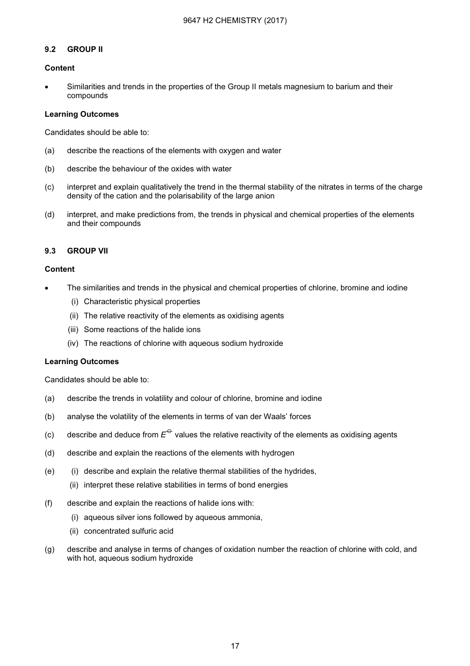#### 9.2 GROUP II

#### Content

• Similarities and trends in the properties of the Group II metals magnesium to barium and their compounds

#### Learning Outcomes

Candidates should be able to:

- (a) describe the reactions of the elements with oxygen and water
- (b) describe the behaviour of the oxides with water
- (c) interpret and explain qualitatively the trend in the thermal stability of the nitrates in terms of the charge density of the cation and the polarisability of the large anion
- (d) interpret, and make predictions from, the trends in physical and chemical properties of the elements and their compounds

#### 9.3 GROUP VII

#### Content

- The similarities and trends in the physical and chemical properties of chlorine, bromine and iodine
	- (i) Characteristic physical properties
	- (ii) The relative reactivity of the elements as oxidising agents
	- (iii) Some reactions of the halide ions
	- (iv) The reactions of chlorine with aqueous sodium hydroxide

#### Learning Outcomes

- (a) describe the trends in volatility and colour of chlorine, bromine and iodine
- (b) analyse the volatility of the elements in terms of van der Waals' forces
- (c) describe and deduce from  $E^{\ominus}$  values the relative reactivity of the elements as oxidising agents
- (d) describe and explain the reactions of the elements with hydrogen
- (e) (i) describe and explain the relative thermal stabilities of the hydrides,
	- (ii) interpret these relative stabilities in terms of bond energies
- (f) describe and explain the reactions of halide ions with:
	- (i) aqueous silver ions followed by aqueous ammonia,
	- (ii) concentrated sulfuric acid
- (g) describe and analyse in terms of changes of oxidation number the reaction of chlorine with cold, and with hot, aqueous sodium hydroxide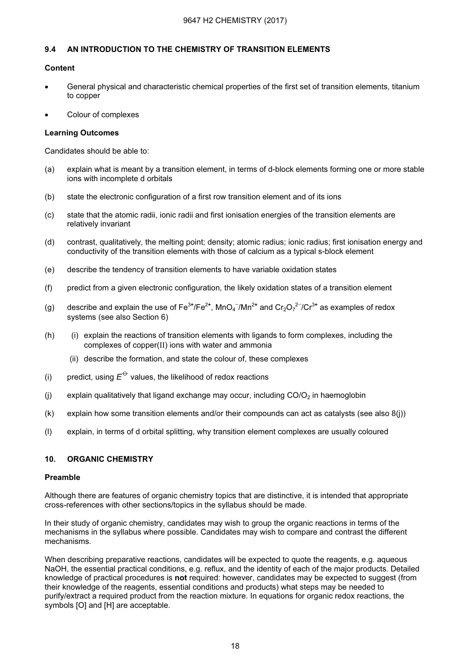#### 9.4 AN INTRODUCTION TO THE CHEMISTRY OF TRANSITION ELEMENTS

#### Content

- General physical and characteristic chemical properties of the first set of transition elements, titanium to copper
- Colour of complexes

#### Learning Outcomes

Candidates should be able to:

- (a) explain what is meant by a transition element, in terms of d-block elements forming one or more stable ions with incomplete d orbitals
- (b) state the electronic configuration of a first row transition element and of its ions
- (c) state that the atomic radii, ionic radii and first ionisation energies of the transition elements are relatively invariant
- (d) contrast, qualitatively, the melting point; density; atomic radius; ionic radius; first ionisation energy and conductivity of the transition elements with those of calcium as a typical s-block element
- (e) describe the tendency of transition elements to have variable oxidation states
- (f) predict from a given electronic configuration, the likely oxidation states of a transition element
- (g)  $\,$  describe and explain the use of Fe $^{3+}$ /Fe $^{2+}$ , MnO $_4^{-}$ /Mn $^{2+}$  and Cr $_2$ O $_7^{2-}$ /Cr $^{3+}$  as examples of redox systems (see also Section 6)
- (h) (i) explain the reactions of transition elements with ligands to form complexes, including the complexes of copper(ΙΙ) ions with water and ammonia
	- (ii) describe the formation, and state the colour of, these complexes
- (i) predict, using  $E^{\ominus}$  values, the likelihood of redox reactions
- (i) explain qualitatively that ligand exchange may occur, including  $CO/O<sub>2</sub>$  in haemoglobin
- (k) explain how some transition elements and/or their compounds can act as catalysts (see also 8(j))
- (l) explain, in terms of d orbital splitting, why transition element complexes are usually coloured

#### 10. ORGANIC CHEMISTRY

#### Preamble

Although there are features of organic chemistry topics that are distinctive, it is intended that appropriate cross-references with other sections/topics in the syllabus should be made.

In their study of organic chemistry, candidates may wish to group the organic reactions in terms of the mechanisms in the syllabus where possible. Candidates may wish to compare and contrast the different mechanisms.

When describing preparative reactions, candidates will be expected to quote the reagents, e.g. aqueous NaOH, the essential practical conditions, e.g. reflux, and the identity of each of the major products. Detailed knowledge of practical procedures is not required: however, candidates may be expected to suggest (from their knowledge of the reagents, essential conditions and products) what steps may be needed to purify/extract a required product from the reaction mixture. In equations for organic redox reactions, the symbols [O] and [H] are acceptable.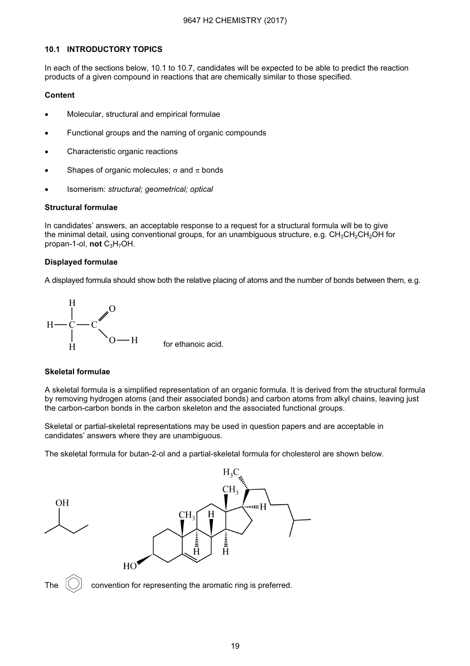#### 10.1 INTRODUCTORY TOPICS

In each of the sections below, 10.1 to 10.7, candidates will be expected to be able to predict the reaction products of a given compound in reactions that are chemically similar to those specified.

#### Content

- Molecular, structural and empirical formulae
- Functional groups and the naming of organic compounds
- Characteristic organic reactions
- Shapes of organic molecules;  $\sigma$  and  $\pi$  bonds
- Isomerism: structural; geometrical; optical

#### Structural formulae

In candidates' answers, an acceptable response to a request for a structural formula will be to give the minimal detail, using conventional groups, for an unambiguous structure, e.g.  $CH_3CH_2CH_2OH$  for propan-1-ol, not  $C_3H_7OH$ .

#### Displayed formulae

A displayed formula should show both the relative placing of atoms and the number of bonds between them, e.g.



#### Skeletal formulae

A skeletal formula is a simplified representation of an organic formula. It is derived from the structural formula by removing hydrogen atoms (and their associated bonds) and carbon atoms from alkyl chains, leaving just the carbon-carbon bonds in the carbon skeleton and the associated functional groups.

Skeletal or partial-skeletal representations may be used in question papers and are acceptable in candidates' answers where they are unambiguous.

The skeletal formula for butan-2-ol and a partial-skeletal formula for cholesterol are shown below.



The  $(\bigcirc)$  convention for representing the aromatic ring is preferred.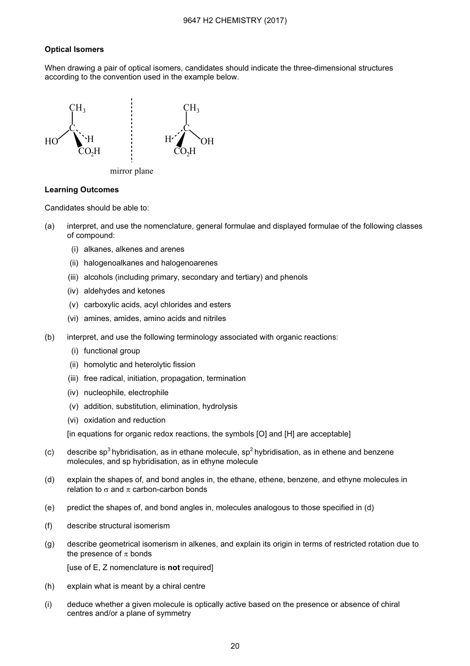#### 9647 H2 CHEMISTRY (2017)

#### Optical Isomers

When drawing a pair of optical isomers, candidates should indicate the three-dimensional structures according to the convention used in the example below.



mirror plane

#### Learning Outcomes

Candidates should be able to:

- (a) interpret, and use the nomenclature, general formulae and displayed formulae of the following classes of compound:
	- (i) alkanes, alkenes and arenes
	- (ii) halogenoalkanes and halogenoarenes
	- (iii) alcohols (including primary, secondary and tertiary) and phenols
	- (iv) aldehydes and ketones
	- (v) carboxylic acids, acyl chlorides and esters
	- (vi) amines, amides, amino acids and nitriles
- (b) interpret, and use the following terminology associated with organic reactions:
	- (i) functional group
	- (ii) homolytic and heterolytic fission
	- (iii) free radical, initiation, propagation, termination
	- (iv) nucleophile, electrophile
	- (v) addition, substitution, elimination, hydrolysis
	- (vi) oxidation and reduction

[in equations for organic redox reactions, the symbols [O] and [H] are acceptable]

- (c) describe sp<sup>3</sup> hybridisation, as in ethane molecule, sp<sup>2</sup> hybridisation, as in ethene and benzene molecules, and sp hybridisation, as in ethyne molecule
- (d) explain the shapes of, and bond angles in, the ethane, ethene, benzene, and ethyne molecules in relation to  $\sigma$  and  $\pi$  carbon-carbon bonds
- (e) predict the shapes of, and bond angles in, molecules analogous to those specified in (d)
- (f) describe structural isomerism
- (g) describe geometrical isomerism in alkenes, and explain its origin in terms of restricted rotation due to the presence of  $\pi$  bonds

[use of E, Z nomenclature is not required]

- (h) explain what is meant by a chiral centre
- (i) deduce whether a given molecule is optically active based on the presence or absence of chiral centres and/or a plane of symmetry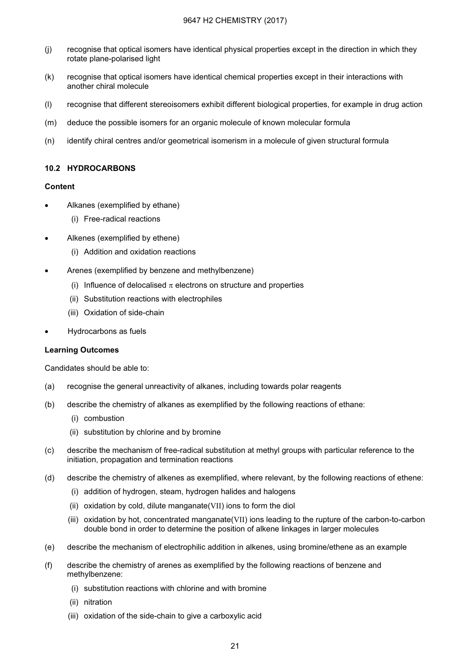- (j) recognise that optical isomers have identical physical properties except in the direction in which they rotate plane-polarised light
- (k) recognise that optical isomers have identical chemical properties except in their interactions with another chiral molecule
- (l) recognise that different stereoisomers exhibit different biological properties, for example in drug action
- (m) deduce the possible isomers for an organic molecule of known molecular formula
- (n) identify chiral centres and/or geometrical isomerism in a molecule of given structural formula

#### 10.2 HYDROCARBONS

#### Content

- Alkanes (exemplified by ethane)
	- (i) Free-radical reactions
- Alkenes (exemplified by ethene)
	- (i) Addition and oxidation reactions
- Arenes (exemplified by benzene and methylbenzene)
	- (i) Influence of delocalised  $\pi$  electrons on structure and properties
	- (ii) Substitution reactions with electrophiles
	- (iii) Oxidation of side-chain
- Hydrocarbons as fuels

#### Learning Outcomes

- (a) recognise the general unreactivity of alkanes, including towards polar reagents
- (b) describe the chemistry of alkanes as exemplified by the following reactions of ethane:
	- (i) combustion
	- (ii) substitution by chlorine and by bromine
- (c) describe the mechanism of free-radical substitution at methyl groups with particular reference to the initiation, propagation and termination reactions
- (d) describe the chemistry of alkenes as exemplified, where relevant, by the following reactions of ethene:
	- (i) addition of hydrogen, steam, hydrogen halides and halogens
	- (ii) oxidation by cold, dilute manganate(VII) ions to form the diol
	- (iii) oxidation by hot, concentrated manganate(VII) ions leading to the rupture of the carbon-to-carbon double bond in order to determine the position of alkene linkages in larger molecules
- (e) describe the mechanism of electrophilic addition in alkenes, using bromine/ethene as an example
- (f) describe the chemistry of arenes as exemplified by the following reactions of benzene and methylbenzene:
	- (i) substitution reactions with chlorine and with bromine
	- (ii) nitration
	- (iii) oxidation of the side-chain to give a carboxylic acid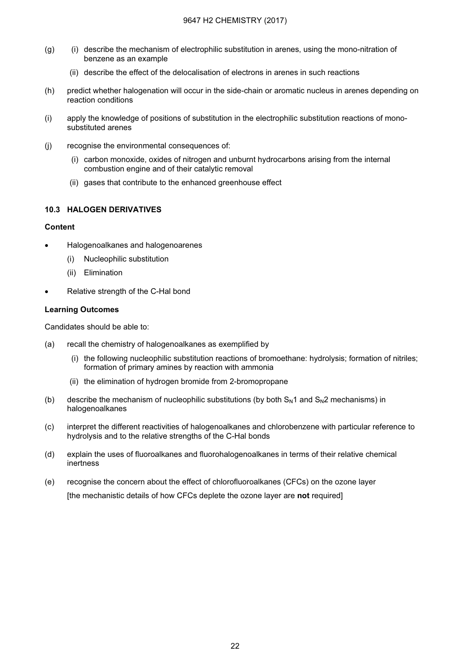- (g) (i) describe the mechanism of electrophilic substitution in arenes, using the mono-nitration of benzene as an example
	- (ii) describe the effect of the delocalisation of electrons in arenes in such reactions
- (h) predict whether halogenation will occur in the side-chain or aromatic nucleus in arenes depending on reaction conditions
- (i) apply the knowledge of positions of substitution in the electrophilic substitution reactions of monosubstituted arenes
- (j) recognise the environmental consequences of:
	- (i) carbon monoxide, oxides of nitrogen and unburnt hydrocarbons arising from the internal combustion engine and of their catalytic removal
	- (ii) gases that contribute to the enhanced greenhouse effect

#### 10.3 HALOGEN DERIVATIVES

#### **Content**

- Halogenoalkanes and halogenoarenes
	- (i) Nucleophilic substitution
	- (ii) Elimination
- Relative strength of the C-Hal bond

#### Learning Outcomes

- (a) recall the chemistry of halogenoalkanes as exemplified by
	- (i) the following nucleophilic substitution reactions of bromoethane: hydrolysis; formation of nitriles; formation of primary amines by reaction with ammonia
	- (ii) the elimination of hydrogen bromide from 2-bromopropane
- (b) describe the mechanism of nucleophilic substitutions (by both  $S_N1$  and  $S_N2$  mechanisms) in halogenoalkanes
- (c) interpret the different reactivities of halogenoalkanes and chlorobenzene with particular reference to hydrolysis and to the relative strengths of the C-Hal bonds
- (d) explain the uses of fluoroalkanes and fluorohalogenoalkanes in terms of their relative chemical inertness
- (e) recognise the concern about the effect of chlorofluoroalkanes (CFCs) on the ozone layer [the mechanistic details of how CFCs deplete the ozone layer are not required]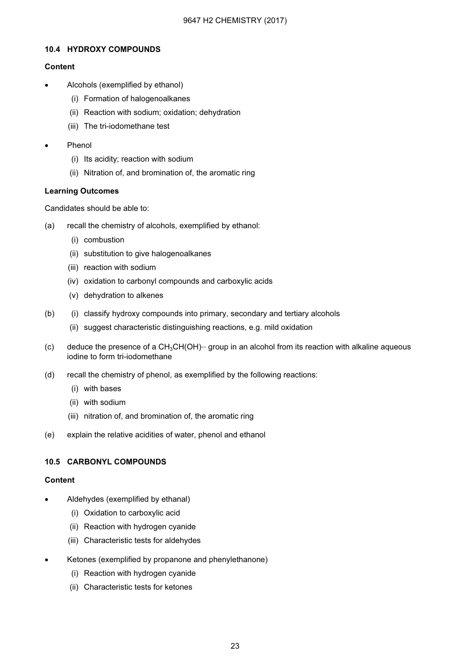#### 10.4 HYDROXY COMPOUNDS

#### Content

- Alcohols (exemplified by ethanol)
	- (i) Formation of halogenoalkanes
	- (ii) Reaction with sodium; oxidation; dehydration
	- (iii) The tri-iodomethane test
- Phenol
	- (i) Its acidity; reaction with sodium
	- (ii) Nitration of, and bromination of, the aromatic ring

#### Learning Outcomes

Candidates should be able to:

- (a) recall the chemistry of alcohols, exemplified by ethanol:
	- (i) combustion
	- (ii) substitution to give halogenoalkanes
	- (iii) reaction with sodium
	- (iv) oxidation to carbonyl compounds and carboxylic acids
	- (v) dehydration to alkenes
- (b) (i) classify hydroxy compounds into primary, secondary and tertiary alcohols
	- (ii) suggest characteristic distinguishing reactions, e.g. mild oxidation
- (c) deduce the presence of a  $CH_3CH(OH)$  group in an alcohol from its reaction with alkaline aqueous iodine to form tri-iodomethane
- (d) recall the chemistry of phenol, as exemplified by the following reactions:
	- (i) with bases
	- (ii) with sodium
	- (iii) nitration of, and bromination of, the aromatic ring
- (e) explain the relative acidities of water, phenol and ethanol

#### 10.5 CARBONYL COMPOUNDS

#### Content

- Aldehydes (exemplified by ethanal)
	- (i) Oxidation to carboxylic acid
	- (ii) Reaction with hydrogen cyanide
	- (iii) Characteristic tests for aldehydes
- Ketones (exemplified by propanone and phenylethanone)
	- (i) Reaction with hydrogen cyanide
	- (ii) Characteristic tests for ketones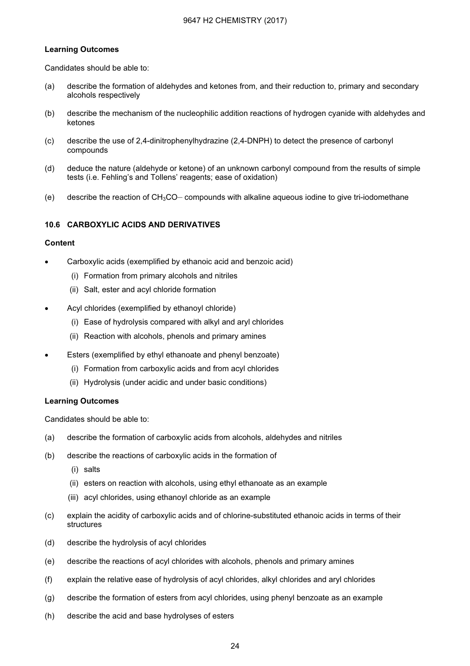#### 9647 H2 CHEMISTRY (2017)

#### Learning Outcomes

Candidates should be able to:

- (a) describe the formation of aldehydes and ketones from, and their reduction to, primary and secondary alcohols respectively
- (b) describe the mechanism of the nucleophilic addition reactions of hydrogen cyanide with aldehydes and ketones
- (c) describe the use of 2,4-dinitrophenylhydrazine (2,4-DNPH) to detect the presence of carbonyl compounds
- (d) deduce the nature (aldehyde or ketone) of an unknown carbonyl compound from the results of simple tests (i.e. Fehling's and Tollens' reagents; ease of oxidation)
- (e) describe the reaction of  $CH<sub>3</sub>CO-$  compounds with alkaline aqueous iodine to give tri-iodomethane

#### 10.6 CARBOXYLIC ACIDS AND DERIVATIVES

#### Content

- Carboxylic acids (exemplified by ethanoic acid and benzoic acid)
	- (i) Formation from primary alcohols and nitriles
	- (ii) Salt, ester and acyl chloride formation
- Acyl chlorides (exemplified by ethanoyl chloride)
	- (i) Ease of hydrolysis compared with alkyl and aryl chlorides
	- (ii) Reaction with alcohols, phenols and primary amines
- Esters (exemplified by ethyl ethanoate and phenyl benzoate)
	- (i) Formation from carboxylic acids and from acyl chlorides
	- (ii) Hydrolysis (under acidic and under basic conditions)

#### Learning Outcomes

- (a) describe the formation of carboxylic acids from alcohols, aldehydes and nitriles
- (b) describe the reactions of carboxylic acids in the formation of
	- (i) salts
	- (ii) esters on reaction with alcohols, using ethyl ethanoate as an example
	- (iii) acyl chlorides, using ethanoyl chloride as an example
- (c) explain the acidity of carboxylic acids and of chlorine-substituted ethanoic acids in terms of their structures
- (d) describe the hydrolysis of acyl chlorides
- (e) describe the reactions of acyl chlorides with alcohols, phenols and primary amines
- (f) explain the relative ease of hydrolysis of acyl chlorides, alkyl chlorides and aryl chlorides
- (g) describe the formation of esters from acyl chlorides, using phenyl benzoate as an example
- (h) describe the acid and base hydrolyses of esters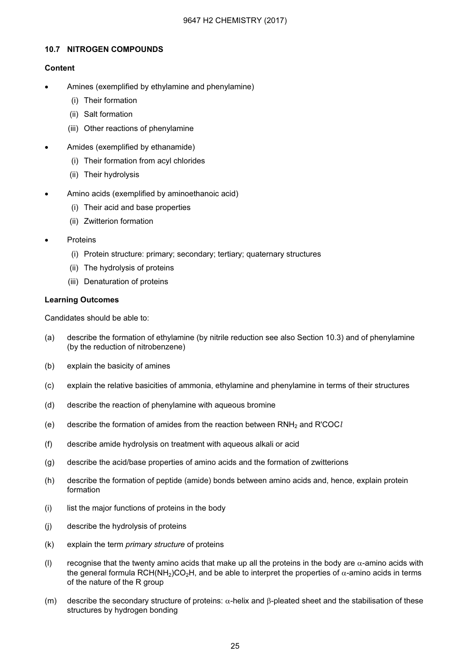#### 10.7 NITROGEN COMPOUNDS

#### Content

- Amines (exemplified by ethylamine and phenylamine)
	- (i) Their formation
	- (ii) Salt formation
	- (iii) Other reactions of phenylamine
- Amides (exemplified by ethanamide)
	- (i) Their formation from acyl chlorides
	- (ii) Their hydrolysis
- Amino acids (exemplified by aminoethanoic acid)
	- (i) Their acid and base properties
	- (ii) Zwitterion formation
- **Proteins** 
	- (i) Protein structure: primary; secondary; tertiary; quaternary structures
	- (ii) The hydrolysis of proteins
	- (iii) Denaturation of proteins

#### Learning Outcomes

- (a) describe the formation of ethylamine (by nitrile reduction see also Section 10.3) and of phenylamine (by the reduction of nitrobenzene)
- (b) explain the basicity of amines
- (c) explain the relative basicities of ammonia, ethylamine and phenylamine in terms of their structures
- (d) describe the reaction of phenylamine with aqueous bromine
- (e) describe the formation of amides from the reaction between RNH<sub>2</sub> and R'COCl
- (f) describe amide hydrolysis on treatment with aqueous alkali or acid
- (g) describe the acid/base properties of amino acids and the formation of zwitterions
- (h) describe the formation of peptide (amide) bonds between amino acids and, hence, explain protein formation
- (i) list the major functions of proteins in the body
- (j) describe the hydrolysis of proteins
- (k) explain the term primary structure of proteins
- (l) recognise that the twenty amino acids that make up all the proteins in the body are  $\alpha$ -amino acids with the general formula RCH(NH<sub>2</sub>)CO<sub>2</sub>H, and be able to interpret the properties of  $\alpha$ -amino acids in terms of the nature of the R group
- (m) describe the secondary structure of proteins:  $\alpha$ -helix and β-pleated sheet and the stabilisation of these structures by hydrogen bonding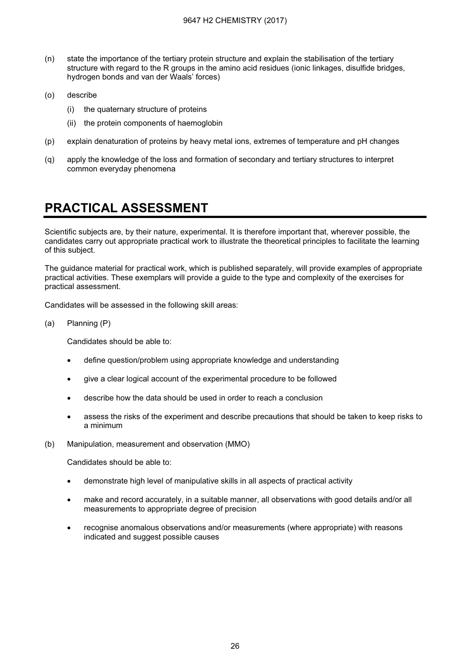- (n) state the importance of the tertiary protein structure and explain the stabilisation of the tertiary structure with regard to the R groups in the amino acid residues (ionic linkages, disulfide bridges, hydrogen bonds and van der Waals' forces)
- (o) describe
	- (i) the quaternary structure of proteins
	- (ii) the protein components of haemoglobin
- (p) explain denaturation of proteins by heavy metal ions, extremes of temperature and pH changes
- (q) apply the knowledge of the loss and formation of secondary and tertiary structures to interpret common everyday phenomena

## **PRACTICAL ASSESSMENT** PRACTICAL ASSESSMENT

Scientific subjects are, by their nature, experimental. It is therefore important that, wherever possible, the candidates carry out appropriate practical work to illustrate the theoretical principles to facilitate the learning of this subject.

The guidance material for practical work, which is published separately, will provide examples of appropriate practical activities. These exemplars will provide a guide to the type and complexity of the exercises for practical assessment.

Candidates will be assessed in the following skill areas:

(a) Planning (P)

Candidates should be able to:

- define question/problem using appropriate knowledge and understanding
- give a clear logical account of the experimental procedure to be followed
- describe how the data should be used in order to reach a conclusion
- assess the risks of the experiment and describe precautions that should be taken to keep risks to a minimum
- (b) Manipulation, measurement and observation (MMO)

- demonstrate high level of manipulative skills in all aspects of practical activity
- make and record accurately, in a suitable manner, all observations with good details and/or all measurements to appropriate degree of precision
- recognise anomalous observations and/or measurements (where appropriate) with reasons indicated and suggest possible causes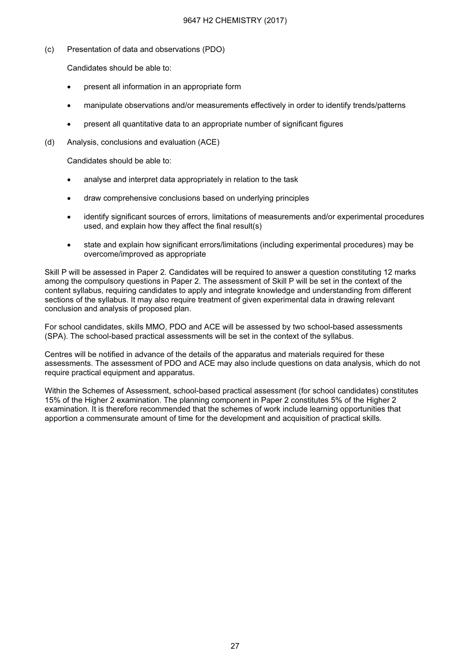(c) Presentation of data and observations (PDO)

Candidates should be able to:

- present all information in an appropriate form
- manipulate observations and/or measurements effectively in order to identify trends/patterns
- present all quantitative data to an appropriate number of significant figures
- (d) Analysis, conclusions and evaluation (ACE)

Candidates should be able to:

- analyse and interpret data appropriately in relation to the task
- draw comprehensive conclusions based on underlying principles
- identify significant sources of errors, limitations of measurements and/or experimental procedures used, and explain how they affect the final result(s)
- state and explain how significant errors/limitations (including experimental procedures) may be overcome/improved as appropriate

Skill P will be assessed in Paper 2. Candidates will be required to answer a question constituting 12 marks among the compulsory questions in Paper 2. The assessment of Skill P will be set in the context of the content syllabus, requiring candidates to apply and integrate knowledge and understanding from different sections of the syllabus. It may also require treatment of given experimental data in drawing relevant conclusion and analysis of proposed plan.

For school candidates, skills MMO, PDO and ACE will be assessed by two school-based assessments (SPA). The school-based practical assessments will be set in the context of the syllabus.

Centres will be notified in advance of the details of the apparatus and materials required for these assessments. The assessment of PDO and ACE may also include questions on data analysis, which do not require practical equipment and apparatus.

Within the Schemes of Assessment, school-based practical assessment (for school candidates) constitutes 15% of the Higher 2 examination. The planning component in Paper 2 constitutes 5% of the Higher 2 examination. It is therefore recommended that the schemes of work include learning opportunities that apportion a commensurate amount of time for the development and acquisition of practical skills.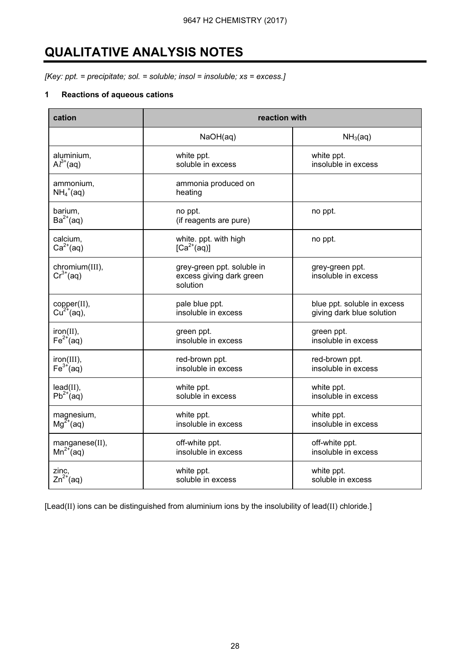# QUALITATIVE ANALYSIS NOTES

[Key: ppt. = precipitate; sol. = soluble; insol = insoluble;  $xs = excess$ .]

#### 1 Reactions of aqueous cations

| cation                          | reaction with                                                      |                                        |  |
|---------------------------------|--------------------------------------------------------------------|----------------------------------------|--|
|                                 | NaOH(aq)                                                           | NH <sub>3</sub> (aq)                   |  |
| aluminium,                      | white ppt.                                                         | white ppt.                             |  |
| $Al^{3+}(aq)$                   | soluble in excess                                                  | insoluble in excess                    |  |
| ammonium,<br>$NH_4^+(aq)$       | ammonia produced on<br>heating                                     |                                        |  |
| barium,<br>$Ba^{2+}(aq)$        | no ppt.<br>(if reagents are pure)                                  | no ppt.                                |  |
| calcium,<br>$Ca2+(aq)$          | white. ppt. with high<br>$[Ca^{2+}(aq)]$                           | no ppt.                                |  |
| chromium(III),<br>$Cr^{3+}(aq)$ | grey-green ppt. soluble in<br>excess giving dark green<br>solution | grey-green ppt.<br>insoluble in excess |  |
| copper(II),                     | pale blue ppt.                                                     | blue ppt. soluble in excess            |  |
| $Cu2+(aq),$                     | insoluble in excess                                                | giving dark blue solution              |  |
| $iron(II)$ ,                    | green ppt.                                                         | green ppt.                             |  |
| $Fe2+(aq)$                      | insoluble in excess                                                | insoluble in excess                    |  |
| iron(III),                      | red-brown ppt.                                                     | red-brown ppt.                         |  |
| $Fe3+(aq)$                      | insoluble in excess                                                | insoluble in excess                    |  |
| $lead(II)$ ,                    | white ppt.                                                         | white ppt.                             |  |
| $Pb^{2+}(aq)$                   | soluble in excess                                                  | insoluble in excess                    |  |
| magnesium,                      | white ppt.                                                         | white ppt.                             |  |
| $Mg^{2+}$ (aq)                  | insoluble in excess                                                | insoluble in excess                    |  |
| manganese(II),                  | off-white ppt.                                                     | off-white ppt.                         |  |
| $Mn^{2+}$ (aq)                  | insoluble in excess                                                | insoluble in excess                    |  |
| zinc,                           | white ppt.                                                         | white ppt.                             |  |
| $Zn^{2+}$ (aq)                  | soluble in excess                                                  | soluble in excess                      |  |

[Lead(II) ions can be distinguished from aluminium ions by the insolubility of lead(II) chloride.]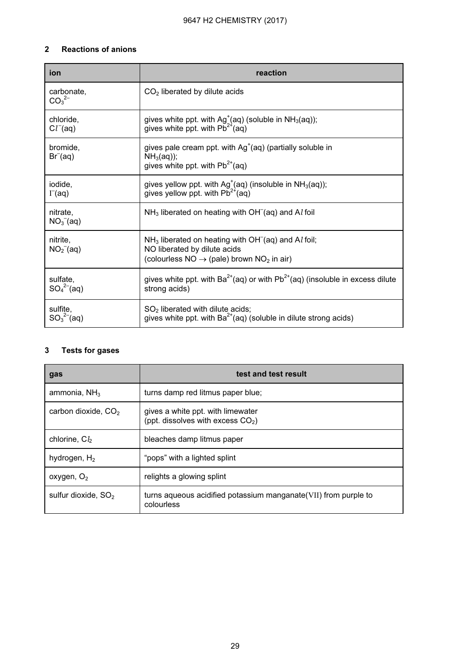## 2 Reactions of anions

| ion                                  | reaction                                                                                                                                                                  |
|--------------------------------------|---------------------------------------------------------------------------------------------------------------------------------------------------------------------------|
| carbonate,<br>$\overline{CO_3}^{2-}$ | $CO2$ liberated by dilute acids                                                                                                                                           |
| chloride,<br>$Cl^{-}(aq)$            | gives white ppt. with $Ag^{\dagger}(aq)$ (soluble in NH <sub>3</sub> (aq));<br>gives white ppt. with $Pb^{2+}$ (aq)                                                       |
| bromide,<br>$Br-(aq)$                | gives pale cream ppt. with $Ag+(aq)$ (partially soluble in<br>$NH3(aq))$ ;<br>gives white ppt. with $Pb^{2+}$ (aq)                                                        |
| iodide.<br>$\Gamma$ (aq)             | gives yellow ppt. with $Ag^{\dagger}(aq)$ (insoluble in NH <sub>3</sub> (aq));<br>gives yellow ppt. with $Pb^{2+}(aq)$                                                    |
| nitrate.<br>$NO3-(aq)$               | $NH3$ liberated on heating with OH <sup><math>-(aq)</math></sup> and Al foil                                                                                              |
| nitrite,<br>$NO2-(aq)$               | $NH3$ liberated on heating with OH <sup><math>-</math></sup> (aq) and Al foil;<br>NO liberated by dilute acids<br>(colourless $NO \rightarrow (pale)$ brown $NO2$ in air) |
| sulfate,<br>$SO_4^{2-}$ (aq)         | gives white ppt. with $Ba^{2+}(aq)$ or with $Pb^{2+}(aq)$ (insoluble in excess dilute<br>strong acids)                                                                    |
| sulfite.<br>$SO_3^{2-}$ (aq)         | $SO2$ liberated with dilute acids;<br>gives white ppt. with $Ba^{2+}(aq)$ (soluble in dilute strong acids)                                                                |

#### 3 Tests for gases

| gas                       | test and test result                                                           |
|---------------------------|--------------------------------------------------------------------------------|
| ammonia, $NH3$            | turns damp red litmus paper blue;                                              |
| carbon dioxide, $CO2$     | gives a white ppt. with limewater<br>(ppt. dissolves with excess $CO2$ )       |
| chlorine, Cl <sub>2</sub> | bleaches damp litmus paper                                                     |
| hydrogen, $H_2$           | "pops" with a lighted splint                                                   |
| oxygen, $O2$              | relights a glowing splint                                                      |
| sulfur dioxide, $SO2$     | turns aqueous acidified potassium manganate (VII) from purple to<br>colourless |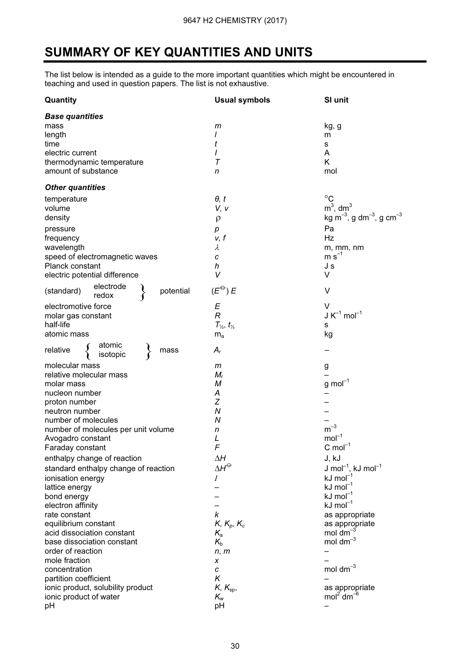# SUMMARY OF KEY QUANTITIES AND UNITS

The list below is intended as a guide to the more important quantities which might be encountered in teaching and used in question papers. The list is not exhaustive.

| Quantity                                                                                                                 | <b>Usual symbols</b>                                                           | SI unit                                                                                                     |
|--------------------------------------------------------------------------------------------------------------------------|--------------------------------------------------------------------------------|-------------------------------------------------------------------------------------------------------------|
| <b>Base quantities</b><br>mass<br>length<br>time<br>electric current<br>thermodynamic temperature<br>amount of substance | m<br>t<br>Τ<br>n                                                               | kg, g<br>m<br>s<br>Α<br>K<br>mol                                                                            |
| <b>Other quantities</b>                                                                                                  |                                                                                |                                                                                                             |
| temperature<br>volume<br>density<br>pressure                                                                             | $\theta$ , t<br>V, v<br>$\rho$<br>р                                            | $^{\circ}C$<br>$m3$ , dm <sup>3</sup><br>kg m <sup>-3</sup> , g dm <sup>-3</sup> , g cm <sup>-3</sup><br>Pa |
| frequency<br>wavelength<br>speed of electromagnetic waves<br>Planck constant<br>electric potential difference            | v, f<br>$\lambda$<br>c<br>h<br>V                                               | Hz<br>m, mm, nm<br>$m s^{-1}$<br>J s<br>V                                                                   |
| electrode<br>potential<br>(standard)<br>redox                                                                            | $(E^{\ominus})E$                                                               | $\vee$                                                                                                      |
| electromotive force<br>molar gas constant<br>half-life<br>atomic mass                                                    | E<br>$\overline{R}$<br>$T_{\frac{1}{2}}$ , $t_{\frac{1}{2}}$<br>m <sub>a</sub> | V<br>$J K^{-1}$ mol <sup>-1</sup><br>s<br>kg                                                                |
| atomic<br>isotopic<br>relative<br>mass                                                                                   | $A_{r}$                                                                        |                                                                                                             |
| molecular mass<br>relative molecular mass<br>molar mass                                                                  | m<br>$M_{\rm r}$<br>М                                                          | g<br>$g \text{ mol}^{-1}$                                                                                   |
| nucleon number<br>proton number<br>neutron number                                                                        | Α<br>Z<br>N                                                                    |                                                                                                             |
| number of molecules<br>number of molecules per unit volume<br>Avogadro constant                                          | N<br>n<br>L<br>F                                                               | $m^{-3}$<br>$mol-1$<br>C mol <sup>-1</sup>                                                                  |
| Faraday constant<br>enthalpy change of reaction                                                                          | ΔΗ                                                                             | J, kJ                                                                                                       |
| standard enthalpy change of reaction<br>ionisation energy                                                                | $\Delta H^\ominus$<br>Ι                                                        | J mol <sup>-1</sup> , kJ mol <sup>-1</sup><br>$kJ \text{ mol}^{-1}$                                         |
| lattice energy<br>bond energy<br>electron affinity                                                                       |                                                                                | $kJ \text{ mol}^{-1}$<br>$kJ \text{ mol}^{-1}$<br>$kJ \text{ mol}^{-1}$                                     |
| rate constant<br>equilibrium constant<br>acid dissociation constant<br>base dissociation constant                        | k<br>$K$ , $K_p$ , $K_c$<br>$K_{\rm a}$<br>$K_{b}$                             | as appropriate<br>as appropriate<br>mol dm<br>mol dm $^{-3}$                                                |
| order of reaction<br>mole fraction<br>concentration                                                                      | n, m<br>X<br>C                                                                 | mol dm $^{-3}$                                                                                              |
| partition coefficient<br>ionic product, solubility product<br>ionic product of water<br>pH                               | Κ<br>$K$ , $K_{\rm sp}$ ,<br>$K_{\rm w}$<br>pH                                 | as appropriate<br>mol <sup>2</sup> dm <sup>-t</sup>                                                         |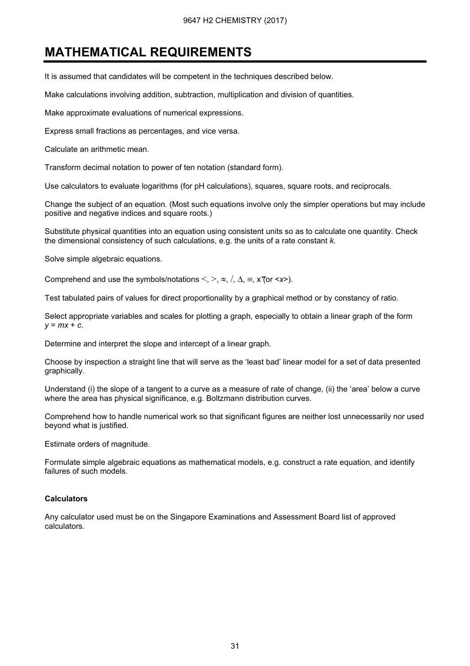# MATHEMATICAL REQUIREMENTS

It is assumed that candidates will be competent in the techniques described below.

Make calculations involving addition, subtraction, multiplication and division of quantities.

Make approximate evaluations of numerical expressions.

Express small fractions as percentages, and vice versa.

Calculate an arithmetic mean.

Transform decimal notation to power of ten notation (standard form).

Use calculators to evaluate logarithms (for pH calculations), squares, square roots, and reciprocals.

Change the subject of an equation. (Most such equations involve only the simpler operations but may include positive and negative indices and square roots.)

Substitute physical quantities into an equation using consistent units so as to calculate one quantity. Check the dimensional consistency of such calculations, e.g. the units of a rate constant k.

Solve simple algebraic equations.

Comprehend and use the symbols/notations  $\leq, \geq, \approx, \frac{\pi}{4}$ ,  $\Delta, \equiv, x$  (or  $\leq x$ ).

Test tabulated pairs of values for direct proportionality by a graphical method or by constancy of ratio.

Select appropriate variables and scales for plotting a graph, especially to obtain a linear graph of the form  $y = mx + c$ .

Determine and interpret the slope and intercept of a linear graph.

Choose by inspection a straight line that will serve as the 'least bad' linear model for a set of data presented graphically.

Understand (i) the slope of a tangent to a curve as a measure of rate of change, (ii) the 'area' below a curve where the area has physical significance, e.g. Boltzmann distribution curves.

Comprehend how to handle numerical work so that significant figures are neither lost unnecessarily nor used beyond what is justified.

Estimate orders of magnitude.

Formulate simple algebraic equations as mathematical models, e.g. construct a rate equation, and identify failures of such models.

#### **Calculators**

Any calculator used must be on the Singapore Examinations and Assessment Board list of approved calculators.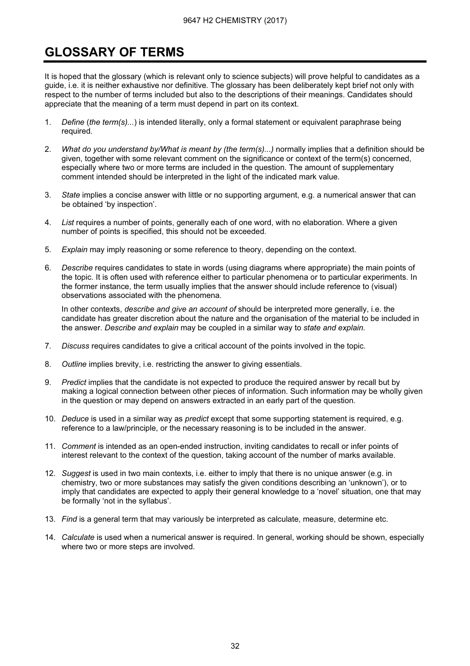# **GLOSSARY OF TERMS** GLOSSARY OF TERMS

It is hoped that the glossary (which is relevant only to science subjects) will prove helpful to candidates as a guide, i.e. it is neither exhaustive nor definitive. The glossary has been deliberately kept brief not only with respect to the number of terms included but also to the descriptions of their meanings. Candidates should appreciate that the meaning of a term must depend in part on its context.

- 1. Define (the term(s)...) is intended literally, only a formal statement or equivalent paraphrase being required.
- 2. What do you understand by/What is meant by (the term(s)...) normally implies that a definition should be given, together with some relevant comment on the significance or context of the term(s) concerned, especially where two or more terms are included in the question. The amount of supplementary comment intended should be interpreted in the light of the indicated mark value.
- 3. State implies a concise answer with little or no supporting argument, e.g. a numerical answer that can be obtained 'by inspection'.
- 4. List requires a number of points, generally each of one word, with no elaboration. Where a given number of points is specified, this should not be exceeded.
- 5. Explain may imply reasoning or some reference to theory, depending on the context.
- 6. Describe requires candidates to state in words (using diagrams where appropriate) the main points of the topic. It is often used with reference either to particular phenomena or to particular experiments. In the former instance, the term usually implies that the answer should include reference to (visual) observations associated with the phenomena.

In other contexts, describe and give an account of should be interpreted more generally, i.e. the candidate has greater discretion about the nature and the organisation of the material to be included in the answer. Describe and explain may be coupled in a similar way to state and explain.

- 7. Discuss requires candidates to give a critical account of the points involved in the topic.
- 8. Outline implies brevity, i.e. restricting the answer to giving essentials.
- 9. Predict implies that the candidate is not expected to produce the required answer by recall but by making a logical connection between other pieces of information. Such information may be wholly given in the question or may depend on answers extracted in an early part of the question.
- 10. Deduce is used in a similar way as predict except that some supporting statement is required, e.g. reference to a law/principle, or the necessary reasoning is to be included in the answer.
- 11. Comment is intended as an open-ended instruction, inviting candidates to recall or infer points of interest relevant to the context of the question, taking account of the number of marks available.
- 12. Suggest is used in two main contexts, i.e. either to imply that there is no unique answer (e.g. in chemistry, two or more substances may satisfy the given conditions describing an 'unknown'), or to imply that candidates are expected to apply their general knowledge to a 'novel' situation, one that may be formally 'not in the syllabus'.
- 13. Find is a general term that may variously be interpreted as calculate, measure, determine etc.
- 14. Calculate is used when a numerical answer is required. In general, working should be shown, especially where two or more steps are involved.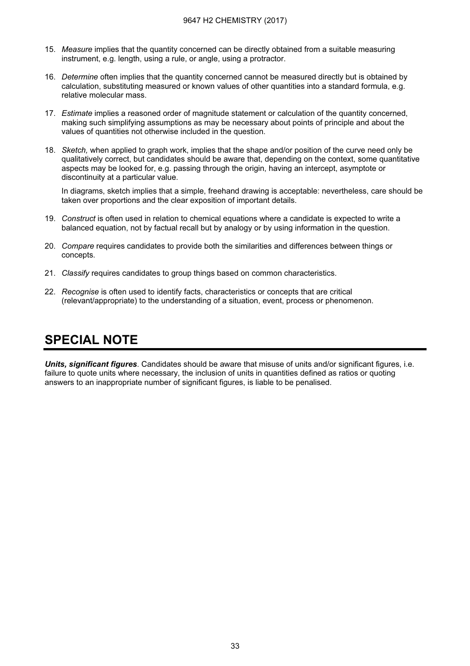- 15. Measure implies that the quantity concerned can be directly obtained from a suitable measuring instrument, e.g. length, using a rule, or angle, using a protractor.
- 16. Determine often implies that the quantity concerned cannot be measured directly but is obtained by calculation, substituting measured or known values of other quantities into a standard formula, e.g. relative molecular mass.
- 17. Estimate implies a reasoned order of magnitude statement or calculation of the quantity concerned, making such simplifying assumptions as may be necessary about points of principle and about the values of quantities not otherwise included in the question.
- 18. Sketch, when applied to graph work, implies that the shape and/or position of the curve need only be qualitatively correct, but candidates should be aware that, depending on the context, some quantitative aspects may be looked for, e.g. passing through the origin, having an intercept, asymptote or discontinuity at a particular value.

 In diagrams, sketch implies that a simple, freehand drawing is acceptable: nevertheless, care should be taken over proportions and the clear exposition of important details.

- 19. Construct is often used in relation to chemical equations where a candidate is expected to write a balanced equation, not by factual recall but by analogy or by using information in the question.
- 20. Compare requires candidates to provide both the similarities and differences between things or concepts.
- 21. Classify requires candidates to group things based on common characteristics.
- 22. Recognise is often used to identify facts, characteristics or concepts that are critical (relevant/appropriate) to the understanding of a situation, event, process or phenomenon.

# <u>SPECIAL NOTE</u>

Units, significant figures. Candidates should be aware that misuse of units and/or significant figures, i.e. failure to quote units where necessary, the inclusion of units in quantities defined as ratios or quoting answers to an inappropriate number of significant figures, is liable to be penalised.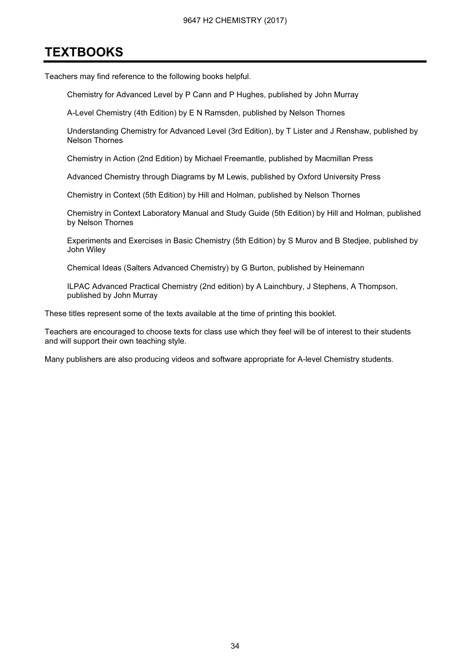# **TEXTBOOKS** <u>TEXTS 2000 -</u>

Teachers may find reference to the following books helpful.

Chemistry for Advanced Level by P Cann and P Hughes, published by John Murray

A-Level Chemistry (4th Edition) by E N Ramsden, published by Nelson Thornes

Understanding Chemistry for Advanced Level (3rd Edition), by T Lister and J Renshaw, published by Nelson Thornes

Chemistry in Action (2nd Edition) by Michael Freemantle, published by Macmillan Press

Advanced Chemistry through Diagrams by M Lewis, published by Oxford University Press

Chemistry in Context (5th Edition) by Hill and Holman, published by Nelson Thornes

Chemistry in Context Laboratory Manual and Study Guide (5th Edition) by Hill and Holman, published by Nelson Thornes

Experiments and Exercises in Basic Chemistry (5th Edition) by S Murov and B Stedjee, published by John Wiley

Chemical Ideas (Salters Advanced Chemistry) by G Burton, published by Heinemann

ILPAC Advanced Practical Chemistry (2nd edition) by A Lainchbury, J Stephens, A Thompson, published by John Murray

These titles represent some of the texts available at the time of printing this booklet.

Teachers are encouraged to choose texts for class use which they feel will be of interest to their students and will support their own teaching style.

Many publishers are also producing videos and software appropriate for A-level Chemistry students.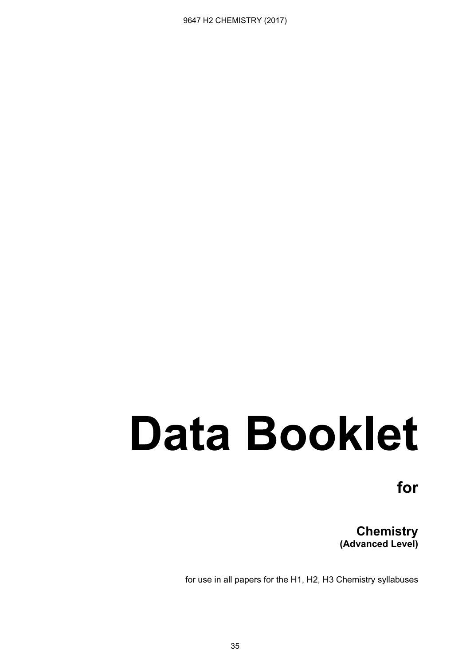# **Data Booklet**

for for

(Advanced Level)

for use in all papers for the H1, H2, H3 Chemistry syllabuses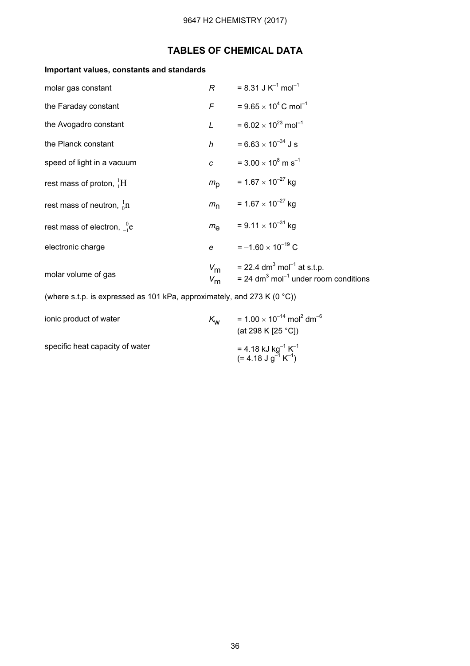# TABLES OF CHEMICAL DATA

## Important values, constants and standards

| molar gas constant                                                      | R              | $= 8.31$ J K <sup>-1</sup> mol <sup>-1</sup>                                                                                                  |
|-------------------------------------------------------------------------|----------------|-----------------------------------------------------------------------------------------------------------------------------------------------|
| the Faraday constant                                                    |                | $F = 9.65 \times 10^4$ C mol <sup>-1</sup>                                                                                                    |
| the Avogadro constant                                                   | $\mathsf{L}$   | = 6.02 $\times$ 10 <sup>23</sup> mol <sup>-1</sup>                                                                                            |
| the Planck constant                                                     |                | h = $6.63 \times 10^{-34}$ J s                                                                                                                |
| speed of light in a vacuum                                              | $\overline{c}$ | = 3.00 $\times$ 10 <sup>8</sup> m s <sup>-1</sup>                                                                                             |
| rest mass of proton, ${}^{1}_{1}H$                                      |                | $m_{\rm p}$ = 1.67 × 10 <sup>-27</sup> kg                                                                                                     |
| rest mass of neutron, ${}_{0}^{1}n$                                     |                | $m_{\text{n}}$ = 1.67 × 10 <sup>-27</sup> kg                                                                                                  |
| rest mass of electron, ${}_{-1}^{0}$ e                                  |                | $m_{\text{e}}$ = 9.11 × 10 <sup>-31</sup> kg                                                                                                  |
| electronic charge                                                       |                | $e = -1.60 \times 10^{-19}$ C                                                                                                                 |
| molar volume of gas                                                     |                | $V_{\text{m}}$ = 22.4 dm <sup>3</sup> mol <sup>-1</sup> at s.t.p.<br>$V_{\rm m}$ = 24 dm <sup>3</sup> mol <sup>-1</sup> under room conditions |
| (where s.t.p. is expressed as 101 kPa, approximately, and 273 K (0 °C)) |                |                                                                                                                                               |

| ionic product of water          | $K_{\rm W}$ | = $1.00 \times 10^{-14}$ mol <sup>2</sup> dm <sup>-6</sup><br>(at 298 K [25 °C])          |
|---------------------------------|-------------|-------------------------------------------------------------------------------------------|
| specific heat capacity of water |             | = 4.18 kJ kg <sup>-1</sup> K <sup>-1</sup><br>(= 4.18 J g <sup>-1</sup> K <sup>-1</sup> ) |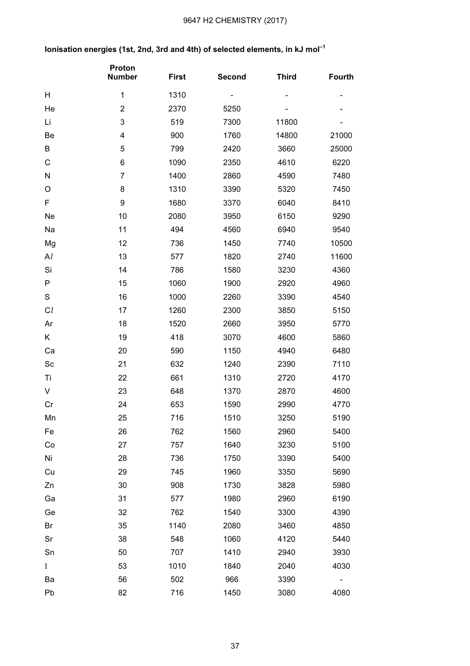## 9647 H2 CHEMISTRY (2017)

# Ionisation energies (1st, 2nd, 3rd and 4th) of selected elements, in  $kJ$  mol<sup>-1</sup>

|                | Proton<br><b>Number</b> | <b>First</b> | <b>Second</b> | <b>Third</b> | <b>Fourth</b> |
|----------------|-------------------------|--------------|---------------|--------------|---------------|
| Н              | 1                       | 1310         |               |              |               |
| He             | $\overline{2}$          | 2370         | 5250          |              |               |
| Li             | 3                       | 519          | 7300          | 11800        |               |
| Be             | 4                       | 900          | 1760          | 14800        | 21000         |
| B              | 5                       | 799          | 2420          | 3660         | 25000         |
| $\mathsf{C}$   | 6                       | 1090         | 2350          | 4610         | 6220          |
| N              | $\overline{7}$          | 1400         | 2860          | 4590         | 7480          |
| O              | 8                       | 1310         | 3390          | 5320         | 7450          |
| F              | 9                       | 1680         | 3370          | 6040         | 8410          |
| Ne             | 10                      | 2080         | 3950          | 6150         | 9290          |
| Na             | 11                      | 494          | 4560          | 6940         | 9540          |
| Mg             | 12                      | 736          | 1450          | 7740         | 10500         |
| Al             | 13                      | 577          | 1820          | 2740         | 11600         |
| Si             | 14                      | 786          | 1580          | 3230         | 4360          |
| ${\sf P}$      | 15                      | 1060         | 1900          | 2920         | 4960          |
| $\mathsf S$    | 16                      | 1000         | 2260          | 3390         | 4540          |
| C <sub>l</sub> | 17                      | 1260         | 2300          | 3850         | 5150          |
| Ar             | 18                      | 1520         | 2660          | 3950         | 5770          |
| K              | 19                      | 418          | 3070          | 4600         | 5860          |
| Ca             | 20                      | 590          | 1150          | 4940         | 6480          |
| Sc             | 21                      | 632          | 1240          | 2390         | 7110          |
| Ti             | 22                      | 661          | 1310          | 2720         | 4170          |
| V              | 23                      | 648          | 1370          | 2870         | 4600          |
| Cr             | 24                      | 653          | 1590          | 2990         | 4770          |
| Mn             | 25                      | 716          | 1510          | 3250         | 5190          |
| Fe             | 26                      | 762          | 1560          | 2960         | 5400          |
| Co             | 27                      | 757          | 1640          | 3230         | 5100          |
| Ni             | 28                      | 736          | 1750          | 3390         | 5400          |
| Cu             | 29                      | 745          | 1960          | 3350         | 5690          |
| Zn             | 30                      | 908          | 1730          | 3828         | 5980          |
| Ga             | 31                      | 577          | 1980          | 2960         | 6190          |
| Ge             | 32                      | 762          | 1540          | 3300         | 4390          |
| Br             | 35                      | 1140         | 2080          | 3460         | 4850          |
| Sr             | 38                      | 548          | 1060          | 4120         | 5440          |
| Sn             | 50                      | 707          | 1410          | 2940         | 3930          |
| Ι              | 53                      | 1010         | 1840          | 2040         | 4030          |
| Ba             | 56                      | 502          | 966           | 3390         |               |
| Pb             | 82                      | 716          | 1450          | 3080         | 4080          |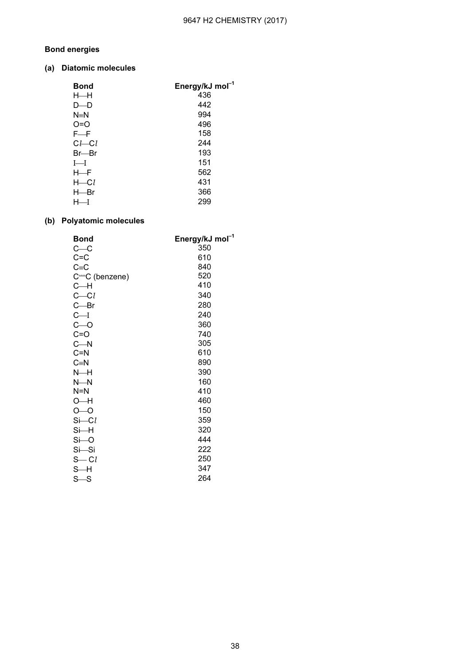## Bond energies

#### (a) Diatomic molecules

| Energy/kJ mol <sup>-1</sup> |
|-----------------------------|
| 436                         |
| 442                         |
| 994                         |
| 496                         |
| 158                         |
| 244                         |
| 193                         |
| 151                         |
| 562                         |
| 431                         |
| 366                         |
| 299                         |
|                             |

#### (b) Polyatomic molecules

| <b>Bond</b>       | Energy/kJ mol <sup>-1</sup> |
|-------------------|-----------------------------|
| $c_{\text{c}}$    | 350                         |
| $C = C$           | 610                         |
| $C = C$           | 840                         |
| C-C (benzene)     | 520                         |
| $C - H$           | 410                         |
| $C - Cl$          | 340                         |
| $C$ -Br           | 280                         |
| $C - I$           | 240                         |
| $C - O$           | 360                         |
| $C = O$           | 740                         |
| $C - N$           | 305                         |
| $C = N$           | 610                         |
| $C = N$           | 890                         |
| $N-H$             | 390                         |
| $N-N$             | 160                         |
| $N=N$             | 410                         |
| O—H               | 460                         |
| $O - O$           | 150                         |
| $S\rightarrow Cl$ | 359                         |
| $Si$ -H           | 320                         |
| $Si-O$            | 444                         |
| $Si-Si$           | 222                         |
| $S - Cl$          | 250                         |
| s—H               | 347                         |
| $S-S$             | 264                         |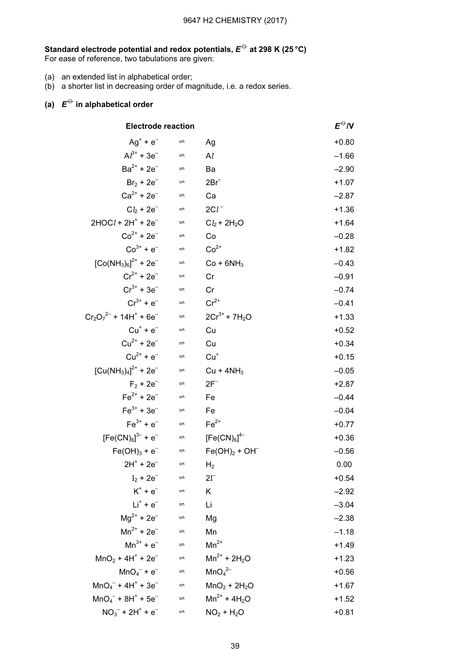#### Standard electrode potential and redox potentials,  $E^\leftrightarrow$  at 298 K (25 °C)  $^+$

For ease of reference, two tabulations are given:

- (a) an extended list in alphabetical order;
- (b) a shorter list in decreasing order of magnitude, i.e. a redox series.

# (a)  $E^{\ominus}$  in alphabetical order

| <b>Electrode reaction</b>                           |                      |                                | $E^{\leftrightarrow}$ N |
|-----------------------------------------------------|----------------------|--------------------------------|-------------------------|
| $Ag^+ + e^-$                                        | $\Rightarrow$        | Ag                             | $+0.80$                 |
| $Al^{3+} + 3e^ \Rightarrow$                         |                      | Al                             | $-1.66$                 |
| $Ba^{2+} + 2e^{-}$                                  | $\Rightarrow$        | Ba                             | $-2.90$                 |
| $Br_2 + 2e^ \Rightarrow$                            |                      | $2Br^-$                        | $+1.07$                 |
| $Ca^{2+} + 2e^{-}$                                  | $\Rightarrow$        | Ca                             | $-2.87$                 |
| $Cb + 2e^-$                                         | $\Rightarrow$        | $2Cl^{-}$                      | $+1.36$                 |
| $2HOCI + 2H^{+} + 2e^{-}$                           | $\Rightarrow$        | $Cl_2 + 2H_2O$                 | $+1.64$                 |
| $Co^{2+} + 2e^{-}$                                  | $\Rightarrow$        | Co                             | $-0.28$                 |
| $Co^{3+} + e^{-}$                                   | $\Rightarrow$        | $Co2+$                         | $+1.82$                 |
| $[Co(NH_3)_6]^{2+}$ + 2e <sup>-</sup>               | $\Rightarrow$        | $Co + 6NH3$                    | $-0.43$                 |
| $Cr^{2+} + 2e^{-}$                                  | $\Rightarrow$        | Cr                             | $-0.91$                 |
| $Cr^{3+} + 3e^{-}$                                  | $\Rightarrow$        | Cr                             | $-0.74$                 |
| $Cr^{3+} + e^{-}$                                   | $\Rightarrow$        | $Cr^{2+}$                      | $-0.41$                 |
| $Cr_2O_7^{2-}$ + 14H <sup>+</sup> + 6e <sup>-</sup> | $\Rightarrow$        | $2Cr^{3+} + 7H_2O$             | $+1.33$                 |
| $Cu^{+} + e^{-}$                                    | $\Rightarrow$        | Cu                             | $+0.52$                 |
| $Cu^{2+} + 2e^{-}$                                  | $\Rightarrow$        | Cu                             | $+0.34$                 |
| $Cu^{2+} + e^{-}$                                   | $\Rightarrow$        | $Cu+$                          | $+0.15$                 |
| $[Cu(NH3)4]2+ + 2e-$                                | $\Rightarrow$        | $Cu + 4NH3$                    | $-0.05$                 |
| $F_2 + 2e^-$                                        | $\rightleftharpoons$ | $2F^-$                         | $+2.87$                 |
| $Fe^{2+} + 2e^{-}$                                  | $\Rightarrow$        | Fe                             | $-0.44$                 |
| $Fe3+ + 3e-$                                        | $\Rightarrow$        | Fe                             | $-0.04$                 |
| $Fe3+ + e-$                                         | $\Rightarrow$        | $Fe2+$                         | $+0.77$                 |
| $[Fe(CN)_6]^{3-}$ + e <sup>-</sup>                  | $\Rightarrow$        | $[Fe(CN)_6]^{4-}$              | $+0.36$                 |
| $Fe(OH)_{3} + e^{-}$                                | $\Rightarrow$        | $Fe(OH)2 + OH-$                | $-0.56$                 |
| $2H^+ + 2e^-$                                       | $\Rightarrow$        | H <sub>2</sub>                 | 0.00                    |
| $I_2 + 2e^-$                                        |                      | $2I^-$                         | $+0.54$                 |
| $K^+ + e^-$                                         | $\Rightarrow$        | Κ                              | $-2.92$                 |
| $Li+ + e-$                                          | $\Rightarrow$        | Li                             | $-3.04$                 |
| $Mg^{2+} + 2e^-$                                    | $\rightleftharpoons$ | Mg                             | $-2.38$                 |
| $Mn^{2+} + 2e^-$                                    | $\Rightarrow$        | Mn                             | $-1.18$                 |
| $Mn^{3+} + e^{-}$                                   | $\rightleftharpoons$ | $Mn^{2+}$                      | $+1.49$                 |
| $MnO2 + 4H+ + 2e-$                                  | $\Rightarrow$        | $Mn^{2+} + 2H_2O$              | $+1.23$                 |
| $MnO_4^- + e^-$                                     | $\rightleftharpoons$ | MnO <sub>4</sub> <sup>2–</sup> | $+0.56$                 |
| $MnO4- + 4H+ + 3e-$                                 | $\Rightarrow$        | $MnO2 + 2H2O$                  | $+1.67$                 |
| $MnO4- + 8H+ + 5e-$                                 | $\Rightarrow$        | $Mn^{2+} + 4H_2O$              | $+1.52$                 |
| $NO_3^- + 2H^+ + e^-$                               | $\Rightarrow$        | $NO2 + H2O$                    | $+0.81$                 |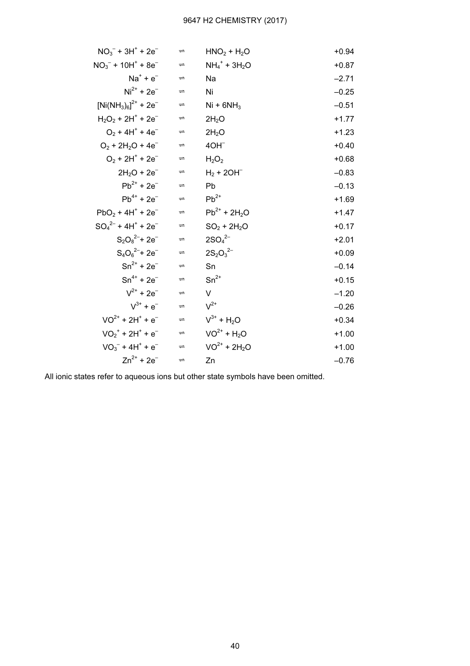| $NO3- + 3H+ + 2e-$                            | $\rightleftharpoons$ | $HNO2 + H2O$                            | $+0.94$ |
|-----------------------------------------------|----------------------|-----------------------------------------|---------|
| $NO_3^-$ + 10H <sup>+</sup> + 8e <sup>-</sup> | $\Rightarrow$        | $NH_4$ <sup>+</sup> + 3H <sub>2</sub> O | $+0.87$ |
| $Na^{+} + e^{-}$                              | $\rightleftharpoons$ | Na                                      | $-2.71$ |
| $Ni2+ + 2e-$                                  | $\Rightarrow$        | Ni                                      | $-0.25$ |
| $[Ni(NH_3)_6]^{2+}$ + 2e <sup>-</sup>         | $\rightleftharpoons$ | $Ni + 6NH3$                             | $-0.51$ |
| $H_2O_2 + 2H^+ + 2e^-$                        | $\rightleftharpoons$ | 2H <sub>2</sub> O                       | $+1.77$ |
| $O_2 + 4H^+ + 4e^-$                           | $\Rightarrow$        | 2H <sub>2</sub> O                       | $+1.23$ |
| $O_2$ + 2H <sub>2</sub> O + 4e <sup>-</sup>   | $\rightleftharpoons$ | $4OH^-$                                 | $+0.40$ |
| $O_2 + 2H^+ + 2e^-$                           | $\Rightarrow$        | $H_2O_2$                                | $+0.68$ |
| $2H_2O + 2e^-$                                | $\rightleftharpoons$ | $H_2$ + 20H <sup>-</sup>                | $-0.83$ |
| $Pb^{2+} + 2e^{-}$                            | $\Rightarrow$        | Pb                                      | $-0.13$ |
| $Pb^{4+} + 2e^{-}$                            | $\rightleftharpoons$ | $Pb^{2+}$                               | $+1.69$ |
| $PbO2 + 4H+ + 2e-$                            | $\Rightarrow$        | $Pb^{2+} + 2H_2O$                       | $+1.47$ |
| $SO_4^2$ + 4H <sup>+</sup> + 2e <sup>-</sup>  | $\rightleftharpoons$ | $SO_2 + 2H_2O$                          | $+0.17$ |
| $S_2O_8^{2-}$ + 2e <sup>-</sup>               | $\rightleftharpoons$ | $2SO_4^{2-}$                            | $+2.01$ |
| $S_4O_6^{2-}$ + 2e <sup>-</sup>               | $\Rightarrow$        | $2S_2O_3^{2-}$                          | $+0.09$ |
| $Sn^{2+} + 2e^{-}$                            | $\rightleftharpoons$ | Sn                                      | $-0.14$ |
| $Sn^{4+} + 2e^{-}$                            | $\Rightarrow$        | $Sn^{2+}$                               | $+0.15$ |
| $V^{2+}$ + 2e <sup>-</sup>                    | $\rightleftharpoons$ | V                                       | $-1.20$ |
| $V^{3+} + e^{-}$                              | $\Rightarrow$        | $V^{2+}$                                | $-0.26$ |
| $VO^{2+} + 2H^{+} + e^{-}$                    | $\rightleftharpoons$ | $V^{3+} + H_2O$                         | $+0.34$ |
| $VO2+ + 2H+ + e-$                             | $\Rightarrow$        | $VO^{2+} + H_2O$                        | $+1.00$ |
| $VO3- + 4H+ + e-$                             | $\Rightarrow$        | $VO^{2+} + 2H_2O$                       | $+1.00$ |
| $Zn^{2+} + 2e^{-}$                            | $\Rightarrow$        | Zn                                      | $-0.76$ |

All ionic states refer to aqueous ions but other state symbols have been omitted.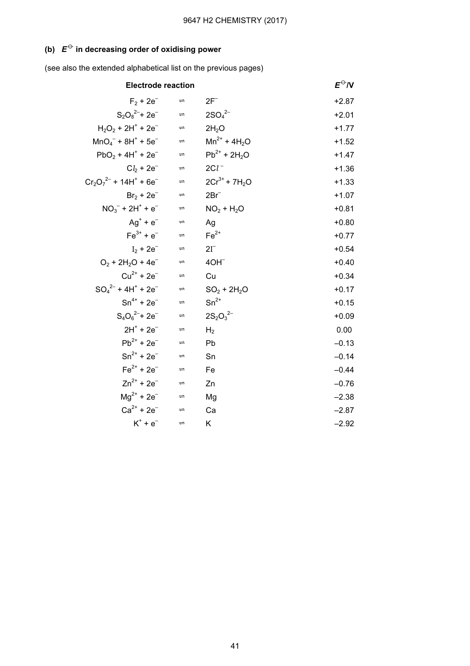# (b)  $E^{\ominus}$  in decreasing order of oxidising power

(see also the extended alphabetical list on the previous pages)

| <b>Electrode reaction</b>                           |                      |                    | $E^{\ominus}N$ |
|-----------------------------------------------------|----------------------|--------------------|----------------|
| $F_2 + 2e^-$                                        | $\Rightarrow$        | $2F^-$             | $+2.87$        |
| $S_2O_8^{2-}$ + 2e <sup>-</sup>                     | $\Rightarrow$        | $2SO_4^{2-}$       | $+2.01$        |
| $H_2O_2$ + 2H <sup>+</sup> + 2e <sup>-</sup>        | $\Rightarrow$        | 2H <sub>2</sub> O  | $+1.77$        |
| $MnO4- + 8H+ + 5e-$                                 | $\Rightarrow$        | $Mn^{2+} + 4H_2O$  | $+1.52$        |
| $PbO_2 + 4H^+ + 2e^-$                               | $\Rightarrow$        | $Pb^{2+} + 2H_2O$  | $+1.47$        |
| $Cb + 2e^-$                                         | $\Rightarrow$        | $2Cl^{-}$          | $+1.36$        |
| $Cr_2O_7^{2-}$ + 14H <sup>+</sup> + 6e <sup>-</sup> | $\Rightarrow$        | $2Cr^{3+} + 7H_2O$ | $+1.33$        |
| $Br_2 + 2e^-$                                       | $\Rightarrow$        | $2Br^-$            | $+1.07$        |
| $NO3- + 2H+ + e-$                                   | $\Rightarrow$        | $NO2 + H2O$        | $+0.81$        |
| $Aq^+ + e^ \Rightarrow$                             |                      | Ag                 | $+0.80$        |
| $Fe3+ + e-$                                         | $\Rightarrow$        | $Fe2+$             | $+0.77$        |
| $I_2 + 2e^-$                                        | $\rightleftharpoons$ | $2I^-$             | $+0.54$        |
| $O_2 + 2H_2O + 4e^-$                                | $\rightleftharpoons$ | 4OH <sup>-</sup>   | $+0.40$        |
| $Cu^{2+} + 2e^{-}$                                  | $\Rightarrow$        | Cu                 | $+0.34$        |
| $SO_4^{2-}$ + 4H <sup>+</sup> + 2e <sup>-</sup>     | $\Rightarrow$        | $SO_2 + 2H_2O$     | $+0.17$        |
| $Sn^{4+} + 2e^{-}$                                  | $\Rightarrow$        | $Sn^{2+}$          | $+0.15$        |
| $S_4O_6^{2-}$ + 2e <sup>-</sup>                     | $\Rightarrow$        | $2S_2O_3^{2-}$     | $+0.09$        |
| $2H^+ + 2e^-$                                       | $\Rightarrow$        | H <sub>2</sub>     | 0.00           |
| $Pb^{2+} + 2e^{-}$                                  | $\Rightarrow$        | Pb                 | $-0.13$        |
| $Sn^{2+} + 2e^{-}$                                  | $\Rightarrow$        | Sn                 | $-0.14$        |
| $Fe^{2+} + 2e^{-}$                                  | $\rightleftharpoons$ | Fe                 | $-0.44$        |
| $Zn^{2+} + 2e^{-}$                                  | $\rightleftharpoons$ | Zn                 | $-0.76$        |
| $Mq^{2+} + 2e^-$                                    | $\rightleftharpoons$ | Mg                 | $-2.38$        |
| $Ca^{2+} + 2e^{-}$                                  | $\rightleftharpoons$ | Ca                 | $-2.87$        |
| $K^+ + e^-$                                         | $\Rightarrow$        | Κ                  | $-2.92$        |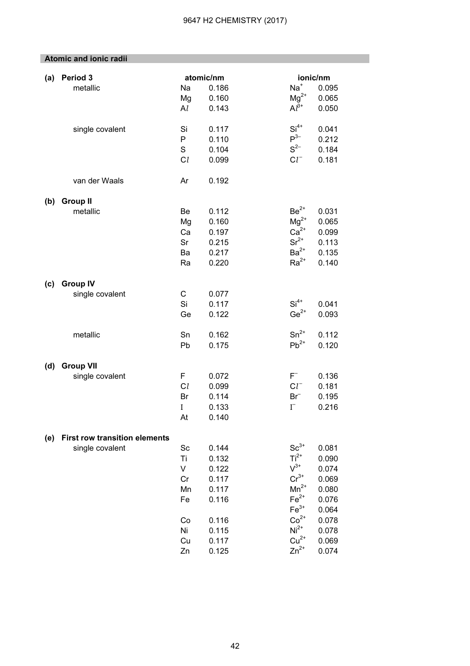|     | <b>Atomic and ionic radii</b>        |                |                    |                               |                   |
|-----|--------------------------------------|----------------|--------------------|-------------------------------|-------------------|
|     |                                      |                |                    |                               |                   |
| (a) | Period 3<br>metallic                 | Na             | atomic/nm<br>0.186 | $\mathsf{Na}^*$               | ionic/nm<br>0.095 |
|     |                                      | Mg             | 0.160              | $Mg^{2+}$                     | 0.065             |
|     |                                      | Al             | 0.143              | $Al^{3+}$                     | 0.050             |
|     |                                      |                |                    |                               |                   |
|     | single covalent                      | Si             | 0.117              | $Si4+$                        | 0.041             |
|     |                                      | P              | 0.110              | $P^{3-}$                      | 0.212             |
|     |                                      | $\mathbb S$    | 0.104              | $S^{2-}$                      | 0.184             |
|     |                                      | C <sub>l</sub> | 0.099              | $Cl^{-}$                      | 0.181             |
|     | van der Waals                        | Ar             | 0.192              |                               |                   |
|     |                                      |                |                    |                               |                   |
| (b) | <b>Group II</b>                      |                |                    |                               |                   |
|     | metallic                             | Be             | 0.112              | $Be2+$                        | 0.031             |
|     |                                      | Mg             | 0.160              | $Mg^{2+}$<br>Ca <sup>2+</sup> | 0.065             |
|     |                                      | Ca             | 0.197              | $Sr2+$                        | 0.099             |
|     |                                      | Sr             | 0.215              | $Ba^{2+}$                     | 0.113             |
|     |                                      | Ba             | 0.217              | $Ra^{2+}$                     | 0.135<br>0.140    |
|     |                                      | Ra             | 0.220              |                               |                   |
| (c) | <b>Group IV</b>                      |                |                    |                               |                   |
|     | single covalent                      | $\mathsf C$    | 0.077              |                               |                   |
|     |                                      | Si             | 0.117              | $Si4+$                        | 0.041             |
|     |                                      | Ge             | 0.122              | $Ge^{2+}$                     | 0.093             |
|     |                                      |                |                    | $Sn^{2+}$                     |                   |
|     | metallic                             | Sn             | 0.162              | $Pb^{2+}$                     | 0.112             |
|     |                                      | Pb             | 0.175              |                               | 0.120             |
| (d) | <b>Group VII</b>                     |                |                    |                               |                   |
|     | single covalent                      | F              | 0.072              | $F^-$                         | 0.136             |
|     |                                      | C <sub>l</sub> | 0.099              | $Cl^{-}$                      | 0.181             |
|     |                                      | Br             | 0.114              | $Br^-$                        | 0.195             |
|     |                                      | $\mathbf I$    | 0.133              | $\Gamma$                      | 0.216             |
|     |                                      | At             | 0.140              |                               |                   |
|     |                                      |                |                    |                               |                   |
| (e) | <b>First row transition elements</b> |                |                    | $Sc^{3+}$                     | 0.081             |
|     | single covalent                      | Sc<br>Ti       | 0.144<br>0.132     | $Ti2+$                        | 0.090             |
|     |                                      | V              | 0.122              | $V^{3+}$                      | 0.074             |
|     |                                      | Cr             | 0.117              | $Cr^{3+}$                     | 0.069             |
|     |                                      | Mn             | 0.117              | $Mn^{2+}$                     | 0.080             |
|     |                                      | Fe             | 0.116              | $Fe2+$                        | 0.076             |
|     |                                      |                |                    | $Fe3+$                        | 0.064             |
|     |                                      | Co             | 0.116              | $Co2+$                        | 0.078             |
|     |                                      | Ni             | 0.115              | $Ni2+$                        | 0.078             |
|     |                                      | Cu             | 0.117              | $Cu2+$                        | 0.069             |
|     |                                      | Zn             | 0.125              | $Zn^{2+}$                     | 0.074             |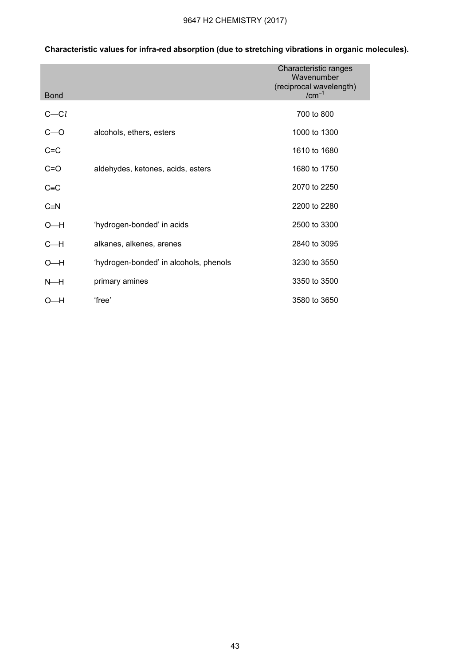| <b>Bond</b>  |                                        | Characteristic ranges<br>Wavenumber<br>(reciprocal wavelength)<br>$/cm^{-1}$ |
|--------------|----------------------------------------|------------------------------------------------------------------------------|
| $C - Cl$     |                                        | 700 to 800                                                                   |
| $C=O$        | alcohols, ethers, esters               | 1000 to 1300                                                                 |
| $C = C$      |                                        | 1610 to 1680                                                                 |
| $C = O$      | aldehydes, ketones, acids, esters      | 1680 to 1750                                                                 |
| $C = C$      |                                        | 2070 to 2250                                                                 |
| $C \equiv N$ |                                        | 2200 to 2280                                                                 |
| $O-H$        | 'hydrogen-bonded' in acids             | 2500 to 3300                                                                 |
| $C - H$      | alkanes, alkenes, arenes               | 2840 to 3095                                                                 |
| $O-H$        | 'hydrogen-bonded' in alcohols, phenols | 3230 to 3550                                                                 |
| N—H          | primary amines                         | 3350 to 3500                                                                 |
| 0—Н          | 'free'                                 | 3580 to 3650                                                                 |

# Characteristic values for infra-red absorption (due to stretching vibrations in organic molecules).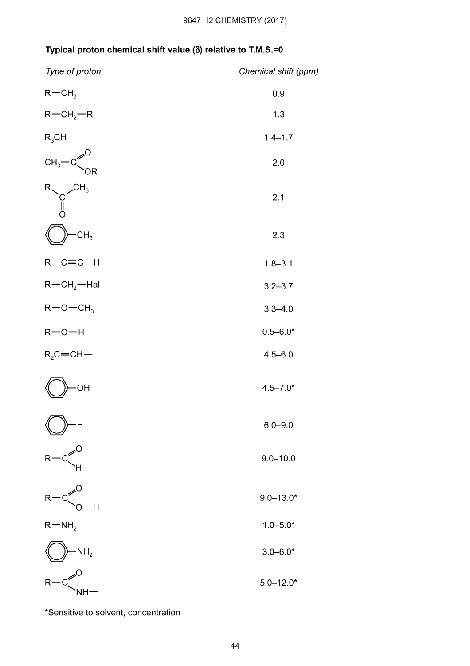# Typical proton chemical shift value ( $\delta$ ) relative to T.M.S.=0

| Type of proton                         | Chemical shift (ppm) |
|----------------------------------------|----------------------|
| $R - CH3$                              | 0.9                  |
| $R - CH2 - R$                          | 1.3                  |
| $R_3$ CH                               | $1.4 - 1.7$          |
| $CH3$ -C<br>0R                         | 2.0                  |
| $\mathcal{L}$ H <sub>3</sub><br>∥<br>೧ | 2.1                  |
| CH <sub>3</sub>                        | 2.3                  |
| $R-C=CH$                               | $1.8 - 3.1$          |
| $R - CH2 - Hal$                        | $3.2 - 3.7$          |
| $R$ – O – CH <sub>3</sub>              | $3.3 - 4.0$          |
| $R - O - H$                            | $0.5 - 6.0*$         |
| $R_2C = CH -$                          | $4.5 - 6.0$          |
| ОH                                     | $4.5 - 7.0*$         |
| H                                      | $6.0 - 9.0$          |
| R                                      | $9.0 - 10.0$         |
| R<br>ΨĤ                                | $9.0 - 13.0*$        |
| $R-MH2$                                | $1.0 - 5.0*$         |
| NH <sub>2</sub>                        | $3.0 - 6.0*$         |
| R<br>NH·                               | $5.0 - 12.0*$        |

\*Sensitive to solvent, concentration